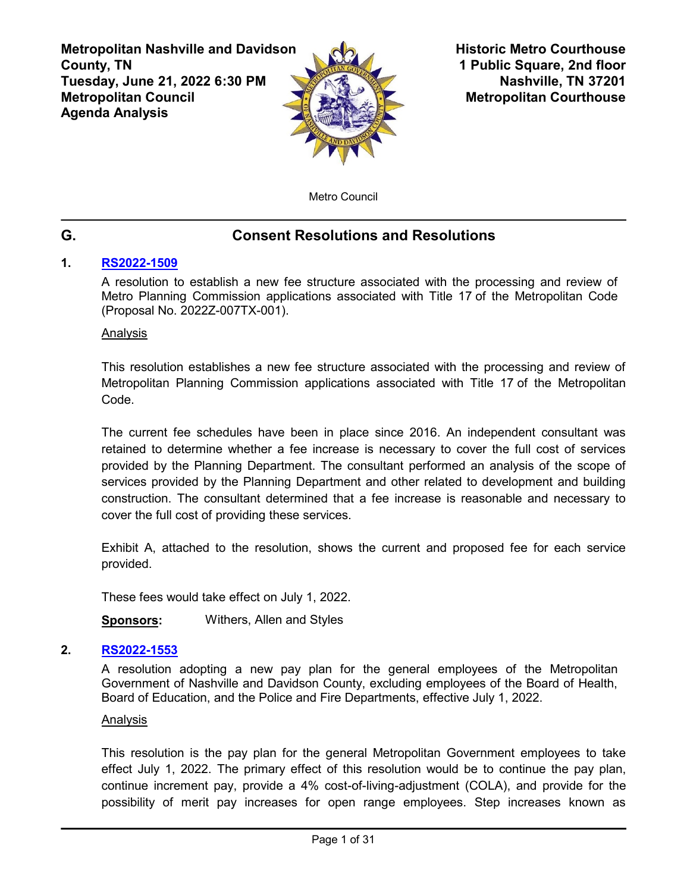**Metropolitan Nashville and Davidson County, TN Tuesday, June 21, 2022 6:30 PM Metropolitan Council Agenda Analysis**



**Historic Metro Courthouse 1 Public Square, 2nd floor Nashville, TN 37201 Metropolitan Courthouse**

Metro Council

# **G. Consent Resolutions and Resolutions**

# **1. [RS2022-1509](http://nashville.legistar.com/gateway.aspx?m=l&id=/matter.aspx?key=14422)**

A resolution to establish a new fee structure associated with the processing and review of Metro Planning Commission applications associated with Title 17 of the Metropolitan Code (Proposal No. 2022Z-007TX-001).

Analysis

This resolution establishes a new fee structure associated with the processing and review of Metropolitan Planning Commission applications associated with Title 17 of the Metropolitan Code.

The current fee schedules have been in place since 2016. An independent consultant was retained to determine whether a fee increase is necessary to cover the full cost of services provided by the Planning Department. The consultant performed an analysis of the scope of services provided by the Planning Department and other related to development and building construction. The consultant determined that a fee increase is reasonable and necessary to cover the full cost of providing these services.

Exhibit A, attached to the resolution, shows the current and proposed fee for each service provided.

These fees would take effect on July 1, 2022.

**Sponsors:** Withers, Allen and Styles

# **2. [RS2022-1553](http://nashville.legistar.com/gateway.aspx?m=l&id=/matter.aspx?key=14587)**

A resolution adopting a new pay plan for the general employees of the Metropolitan Government of Nashville and Davidson County, excluding employees of the Board of Health, Board of Education, and the Police and Fire Departments, effective July 1, 2022.

#### Analysis

This resolution is the pay plan for the general Metropolitan Government employees to take effect July 1, 2022. The primary effect of this resolution would be to continue the pay plan, continue increment pay, provide a 4% cost-of-living-adjustment (COLA), and provide for the possibility of merit pay increases for open range employees. Step increases known as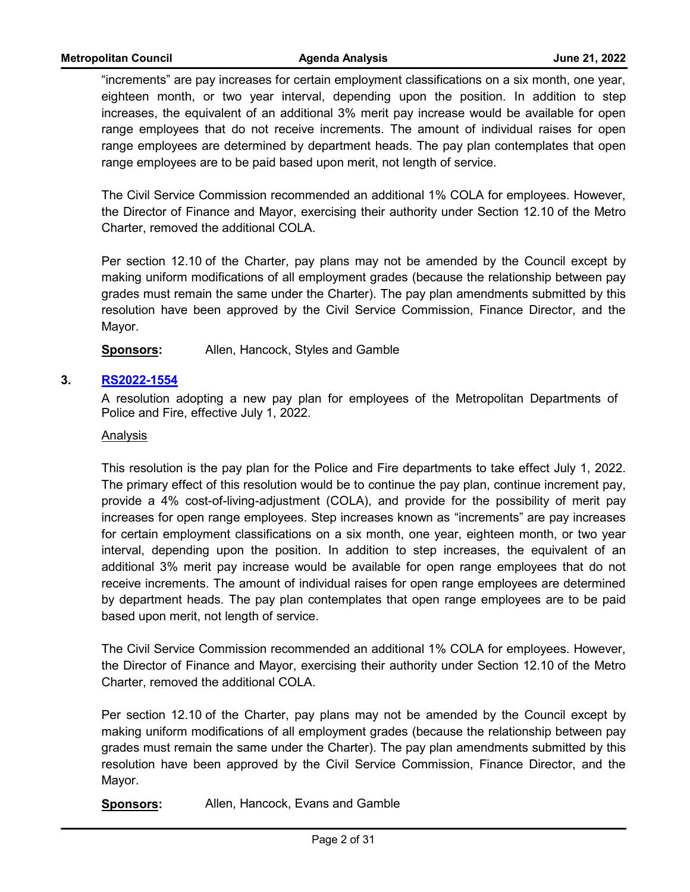"increments" are pay increases for certain employment classifications on a six month, one year, eighteen month, or two year interval, depending upon the position. In addition to step increases, the equivalent of an additional 3% merit pay increase would be available for open range employees that do not receive increments. The amount of individual raises for open range employees are determined by department heads. The pay plan contemplates that open range employees are to be paid based upon merit, not length of service.

The Civil Service Commission recommended an additional 1% COLA for employees. However, the Director of Finance and Mayor, exercising their authority under Section 12.10 of the Metro Charter, removed the additional COLA.

Per section 12.10 of the Charter, pay plans may not be amended by the Council except by making uniform modifications of all employment grades (because the relationship between pay grades must remain the same under the Charter). The pay plan amendments submitted by this resolution have been approved by the Civil Service Commission, Finance Director, and the Mayor.

**Sponsors:** Allen, Hancock, Styles and Gamble

## **3. [RS2022-1554](http://nashville.legistar.com/gateway.aspx?m=l&id=/matter.aspx?key=14588)**

A resolution adopting a new pay plan for employees of the Metropolitan Departments of Police and Fire, effective July 1, 2022.

#### Analysis

This resolution is the pay plan for the Police and Fire departments to take effect July 1, 2022. The primary effect of this resolution would be to continue the pay plan, continue increment pay, provide a 4% cost-of-living-adjustment (COLA), and provide for the possibility of merit pay increases for open range employees. Step increases known as "increments" are pay increases for certain employment classifications on a six month, one year, eighteen month, or two year interval, depending upon the position. In addition to step increases, the equivalent of an additional 3% merit pay increase would be available for open range employees that do not receive increments. The amount of individual raises for open range employees are determined by department heads. The pay plan contemplates that open range employees are to be paid based upon merit, not length of service.

The Civil Service Commission recommended an additional 1% COLA for employees. However, the Director of Finance and Mayor, exercising their authority under Section 12.10 of the Metro Charter, removed the additional COLA.

Per section 12.10 of the Charter, pay plans may not be amended by the Council except by making uniform modifications of all employment grades (because the relationship between pay grades must remain the same under the Charter). The pay plan amendments submitted by this resolution have been approved by the Civil Service Commission, Finance Director, and the Mayor.

**Sponsors:** Allen, Hancock, Evans and Gamble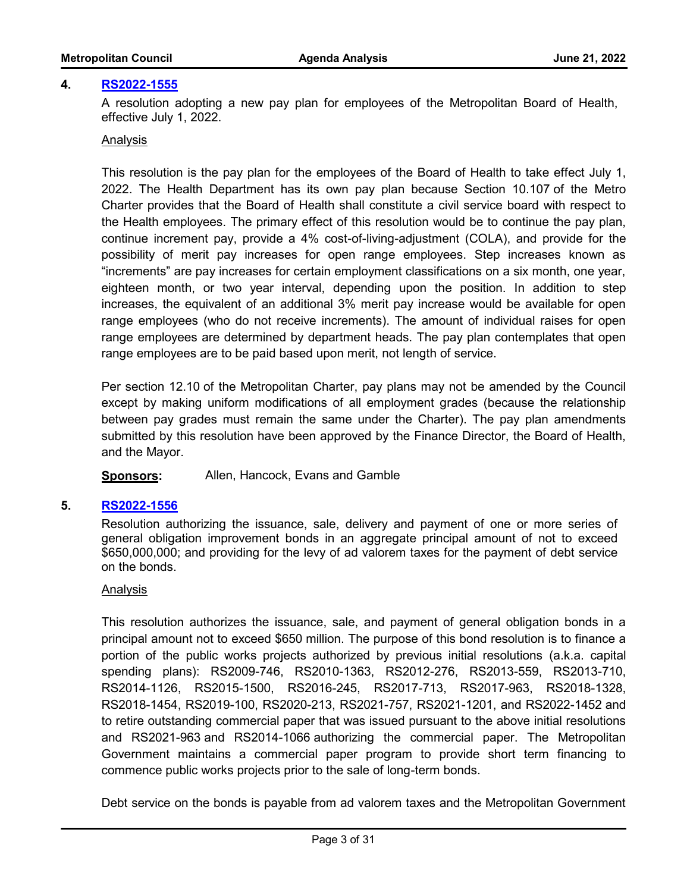#### **4. [RS2022-1555](http://nashville.legistar.com/gateway.aspx?m=l&id=/matter.aspx?key=14589)**

A resolution adopting a new pay plan for employees of the Metropolitan Board of Health, effective July 1, 2022.

#### Analysis

This resolution is the pay plan for the employees of the Board of Health to take effect July 1, 2022. The Health Department has its own pay plan because Section 10.107 of the Metro Charter provides that the Board of Health shall constitute a civil service board with respect to the Health employees. The primary effect of this resolution would be to continue the pay plan, continue increment pay, provide a 4% cost-of-living-adjustment (COLA), and provide for the possibility of merit pay increases for open range employees. Step increases known as "increments" are pay increases for certain employment classifications on a six month, one year, eighteen month, or two year interval, depending upon the position. In addition to step increases, the equivalent of an additional 3% merit pay increase would be available for open range employees (who do not receive increments). The amount of individual raises for open range employees are determined by department heads. The pay plan contemplates that open range employees are to be paid based upon merit, not length of service.

Per section 12.10 of the Metropolitan Charter, pay plans may not be amended by the Council except by making uniform modifications of all employment grades (because the relationship between pay grades must remain the same under the Charter). The pay plan amendments submitted by this resolution have been approved by the Finance Director, the Board of Health, and the Mayor.

**Sponsors:** Allen, Hancock, Evans and Gamble

#### **5. [RS2022-1556](http://nashville.legistar.com/gateway.aspx?m=l&id=/matter.aspx?key=14606)**

Resolution authorizing the issuance, sale, delivery and payment of one or more series of general obligation improvement bonds in an aggregate principal amount of not to exceed \$650,000,000; and providing for the levy of ad valorem taxes for the payment of debt service on the bonds.

#### Analysis

This resolution authorizes the issuance, sale, and payment of general obligation bonds in a principal amount not to exceed \$650 million. The purpose of this bond resolution is to finance a portion of the public works projects authorized by previous initial resolutions (a.k.a. capital spending plans): RS2009-746, RS2010-1363, RS2012-276, RS2013-559, RS2013-710, RS2014-1126, RS2015-1500, RS2016-245, RS2017-713, RS2017-963, RS2018-1328, RS2018-1454, RS2019-100, RS2020-213, RS2021-757, RS2021-1201, and RS2022-1452 and to retire outstanding commercial paper that was issued pursuant to the above initial resolutions and RS2021-963 and RS2014-1066 authorizing the commercial paper. The Metropolitan Government maintains a commercial paper program to provide short term financing to commence public works projects prior to the sale of long-term bonds.

Debt service on the bonds is payable from ad valorem taxes and the Metropolitan Government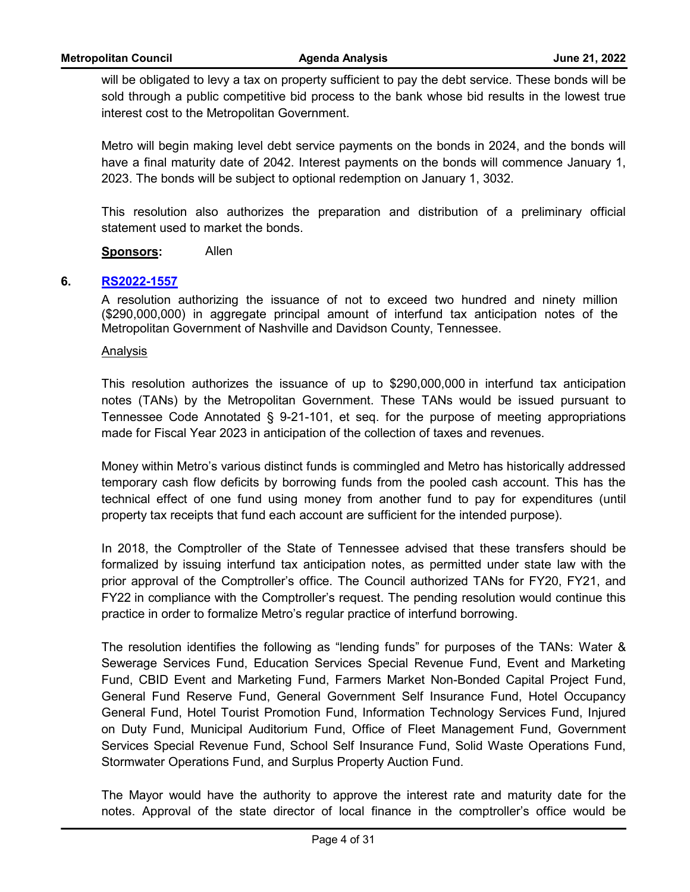will be obligated to levy a tax on property sufficient to pay the debt service. These bonds will be sold through a public competitive bid process to the bank whose bid results in the lowest true interest cost to the Metropolitan Government.

Metro will begin making level debt service payments on the bonds in 2024, and the bonds will have a final maturity date of 2042. Interest payments on the bonds will commence January 1, 2023. The bonds will be subject to optional redemption on January 1, 3032.

This resolution also authorizes the preparation and distribution of a preliminary official statement used to market the bonds.

## **Sponsors:** Allen

## **6. [RS2022-1557](http://nashville.legistar.com/gateway.aspx?m=l&id=/matter.aspx?key=14599)**

A resolution authorizing the issuance of not to exceed two hundred and ninety million (\$290,000,000) in aggregate principal amount of interfund tax anticipation notes of the Metropolitan Government of Nashville and Davidson County, Tennessee.

#### **Analysis**

This resolution authorizes the issuance of up to \$290,000,000 in interfund tax anticipation notes (TANs) by the Metropolitan Government. These TANs would be issued pursuant to Tennessee Code Annotated § 9-21-101, et seq. for the purpose of meeting appropriations made for Fiscal Year 2023 in anticipation of the collection of taxes and revenues.

Money within Metro's various distinct funds is commingled and Metro has historically addressed temporary cash flow deficits by borrowing funds from the pooled cash account. This has the technical effect of one fund using money from another fund to pay for expenditures (until property tax receipts that fund each account are sufficient for the intended purpose).

In 2018, the Comptroller of the State of Tennessee advised that these transfers should be formalized by issuing interfund tax anticipation notes, as permitted under state law with the prior approval of the Comptroller's office. The Council authorized TANs for FY20, FY21, and FY22 in compliance with the Comptroller's request. The pending resolution would continue this practice in order to formalize Metro's regular practice of interfund borrowing.

The resolution identifies the following as "lending funds" for purposes of the TANs: Water & Sewerage Services Fund, Education Services Special Revenue Fund, Event and Marketing Fund, CBID Event and Marketing Fund, Farmers Market Non-Bonded Capital Project Fund, General Fund Reserve Fund, General Government Self Insurance Fund, Hotel Occupancy General Fund, Hotel Tourist Promotion Fund, Information Technology Services Fund, Injured on Duty Fund, Municipal Auditorium Fund, Office of Fleet Management Fund, Government Services Special Revenue Fund, School Self Insurance Fund, Solid Waste Operations Fund, Stormwater Operations Fund, and Surplus Property Auction Fund.

The Mayor would have the authority to approve the interest rate and maturity date for the notes. Approval of the state director of local finance in the comptroller's office would be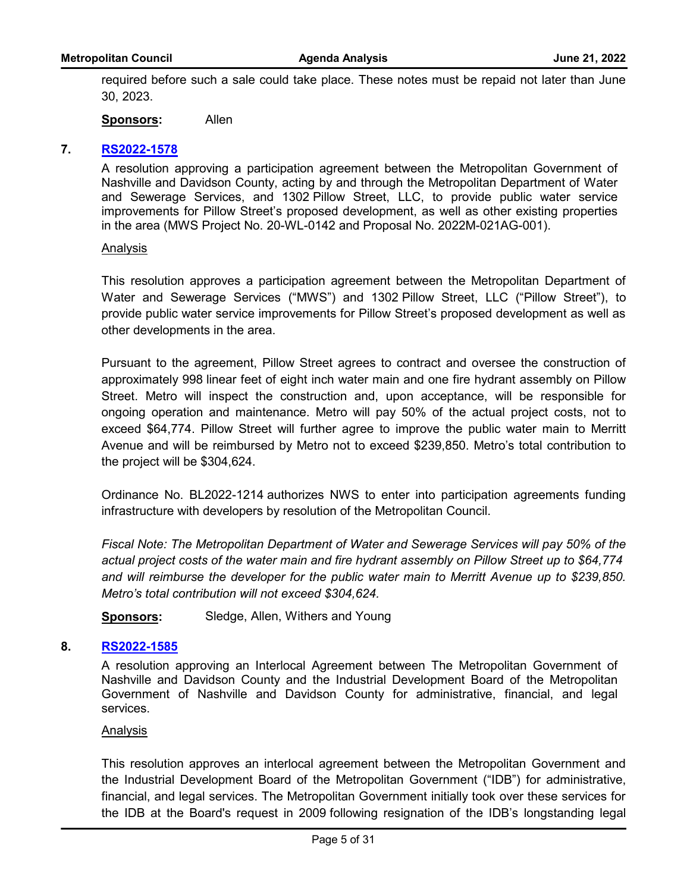required before such a sale could take place. These notes must be repaid not later than June 30, 2023.

**Sponsors:** Allen

#### **7. [RS2022-1578](http://nashville.legistar.com/gateway.aspx?m=l&id=/matter.aspx?key=14598)**

A resolution approving a participation agreement between the Metropolitan Government of Nashville and Davidson County, acting by and through the Metropolitan Department of Water and Sewerage Services, and 1302 Pillow Street, LLC, to provide public water service improvements for Pillow Street's proposed development, as well as other existing properties in the area (MWS Project No. 20-WL-0142 and Proposal No. 2022M-021AG-001).

#### Analysis

This resolution approves a participation agreement between the Metropolitan Department of Water and Sewerage Services ("MWS") and 1302 Pillow Street, LLC ("Pillow Street"), to provide public water service improvements for Pillow Street's proposed development as well as other developments in the area.

Pursuant to the agreement, Pillow Street agrees to contract and oversee the construction of approximately 998 linear feet of eight inch water main and one fire hydrant assembly on Pillow Street. Metro will inspect the construction and, upon acceptance, will be responsible for ongoing operation and maintenance. Metro will pay 50% of the actual project costs, not to exceed \$64,774. Pillow Street will further agree to improve the public water main to Merritt Avenue and will be reimbursed by Metro not to exceed \$239,850. Metro's total contribution to the project will be \$304,624.

Ordinance No. BL2022-1214 authorizes NWS to enter into participation agreements funding infrastructure with developers by resolution of the Metropolitan Council.

*Fiscal Note: The Metropolitan Department of Water and Sewerage Services will pay 50% of the actual project costs of the water main and fire hydrant assembly on Pillow Street up to \$64,774 and will reimburse the developer for the public water main to Merritt Avenue up to \$239,850. Metro's total contribution will not exceed \$304,624.* 

**Sponsors:** Sledge, Allen, Withers and Young

#### **8. [RS2022-1585](http://nashville.legistar.com/gateway.aspx?m=l&id=/matter.aspx?key=14647)**

A resolution approving an Interlocal Agreement between The Metropolitan Government of Nashville and Davidson County and the Industrial Development Board of the Metropolitan Government of Nashville and Davidson County for administrative, financial, and legal services.

#### Analysis

This resolution approves an interlocal agreement between the Metropolitan Government and the Industrial Development Board of the Metropolitan Government ("IDB") for administrative, financial, and legal services. The Metropolitan Government initially took over these services for the IDB at the Board's request in 2009 following resignation of the IDB's longstanding legal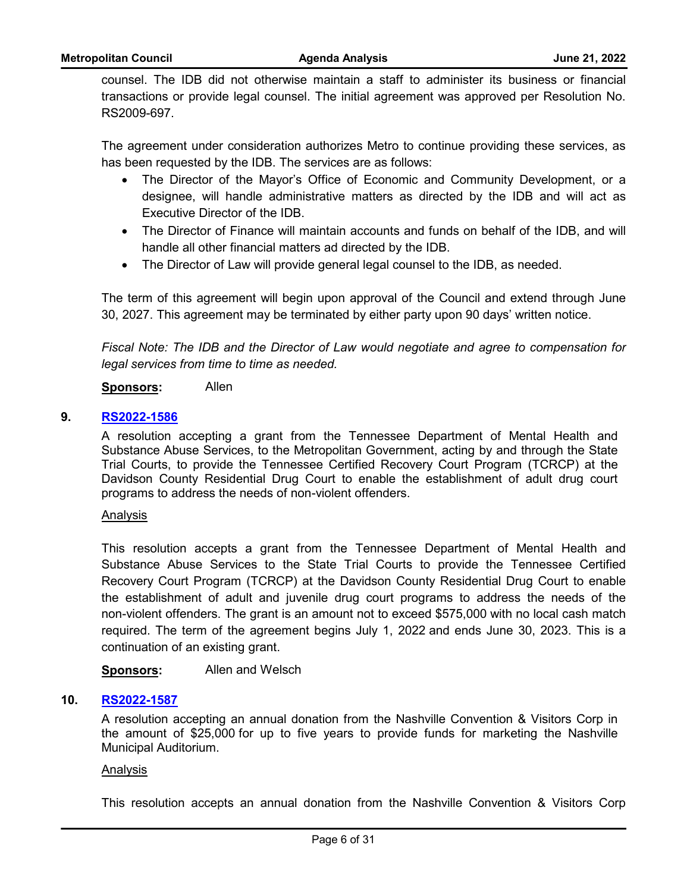counsel. The IDB did not otherwise maintain a staff to administer its business or financial transactions or provide legal counsel. The initial agreement was approved per Resolution No. RS2009-697.

The agreement under consideration authorizes Metro to continue providing these services, as has been requested by the IDB. The services are as follows:

- · The Director of the Mayor's Office of Economic and Community Development, or a designee, will handle administrative matters as directed by the IDB and will act as Executive Director of the IDB.
- · The Director of Finance will maintain accounts and funds on behalf of the IDB, and will handle all other financial matters ad directed by the IDB.
- · The Director of Law will provide general legal counsel to the IDB, as needed.

The term of this agreement will begin upon approval of the Council and extend through June 30, 2027. This agreement may be terminated by either party upon 90 days' written notice.

*Fiscal Note: The IDB and the Director of Law would negotiate and agree to compensation for legal services from time to time as needed.*

**Sponsors:** Allen

## **9. [RS2022-1586](http://nashville.legistar.com/gateway.aspx?m=l&id=/matter.aspx?key=14630)**

A resolution accepting a grant from the Tennessee Department of Mental Health and Substance Abuse Services, to the Metropolitan Government, acting by and through the State Trial Courts, to provide the Tennessee Certified Recovery Court Program (TCRCP) at the Davidson County Residential Drug Court to enable the establishment of adult drug court programs to address the needs of non-violent offenders.

#### Analysis

This resolution accepts a grant from the Tennessee Department of Mental Health and Substance Abuse Services to the State Trial Courts to provide the Tennessee Certified Recovery Court Program (TCRCP) at the Davidson County Residential Drug Court to enable the establishment of adult and juvenile drug court programs to address the needs of the non-violent offenders. The grant is an amount not to exceed \$575,000 with no local cash match required. The term of the agreement begins July 1, 2022 and ends June 30, 2023. This is a continuation of an existing grant.

**Sponsors:** Allen and Welsch

# **10. [RS2022-1587](http://nashville.legistar.com/gateway.aspx?m=l&id=/matter.aspx?key=14637)**

A resolution accepting an annual donation from the Nashville Convention & Visitors Corp in the amount of \$25,000 for up to five years to provide funds for marketing the Nashville Municipal Auditorium.

#### Analysis

This resolution accepts an annual donation from the Nashville Convention & Visitors Corp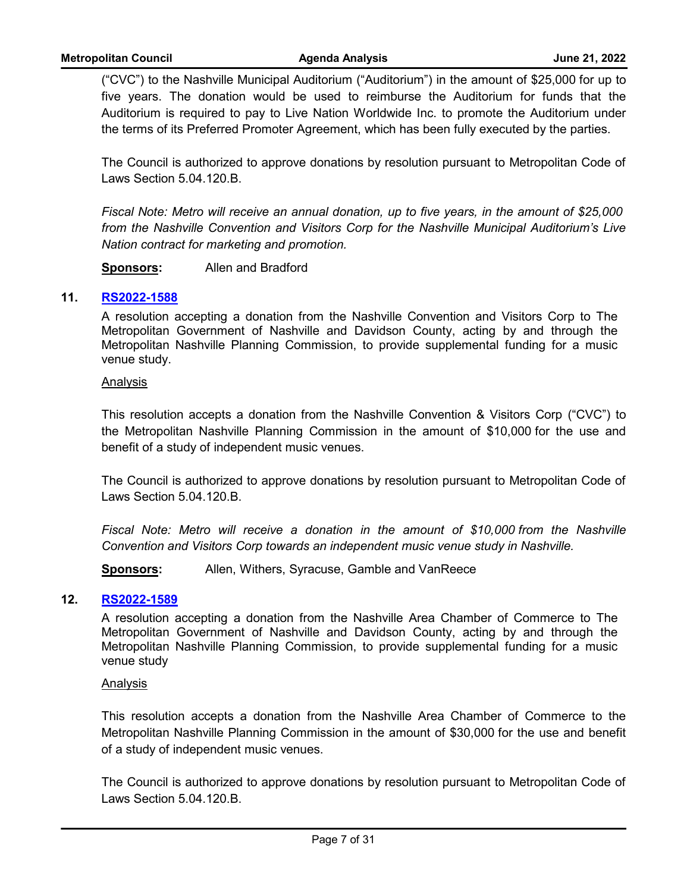("CVC") to the Nashville Municipal Auditorium ("Auditorium") in the amount of \$25,000 for up to five years. The donation would be used to reimburse the Auditorium for funds that the Auditorium is required to pay to Live Nation Worldwide Inc. to promote the Auditorium under the terms of its Preferred Promoter Agreement, which has been fully executed by the parties.

The Council is authorized to approve donations by resolution pursuant to Metropolitan Code of Laws Section 5.04.120.B.

*Fiscal Note: Metro will receive an annual donation, up to five years, in the amount of \$25,000 from the Nashville Convention and Visitors Corp for the Nashville Municipal Auditorium's Live Nation contract for marketing and promotion.*

**Sponsors:** Allen and Bradford

## **11. [RS2022-1588](http://nashville.legistar.com/gateway.aspx?m=l&id=/matter.aspx?key=14643)**

A resolution accepting a donation from the Nashville Convention and Visitors Corp to The Metropolitan Government of Nashville and Davidson County, acting by and through the Metropolitan Nashville Planning Commission, to provide supplemental funding for a music venue study.

#### Analysis

This resolution accepts a donation from the Nashville Convention & Visitors Corp ("CVC") to the Metropolitan Nashville Planning Commission in the amount of \$10,000 for the use and benefit of a study of independent music venues.

The Council is authorized to approve donations by resolution pursuant to Metropolitan Code of Laws Section 5.04.120.B.

*Fiscal Note: Metro will receive a donation in the amount of \$10,000 from the Nashville Convention and Visitors Corp towards an independent music venue study in Nashville.*

**Sponsors:** Allen, Withers, Syracuse, Gamble and VanReece

#### **12. [RS2022-1589](http://nashville.legistar.com/gateway.aspx?m=l&id=/matter.aspx?key=14644)**

A resolution accepting a donation from the Nashville Area Chamber of Commerce to The Metropolitan Government of Nashville and Davidson County, acting by and through the Metropolitan Nashville Planning Commission, to provide supplemental funding for a music venue study

#### Analysis

This resolution accepts a donation from the Nashville Area Chamber of Commerce to the Metropolitan Nashville Planning Commission in the amount of \$30,000 for the use and benefit of a study of independent music venues.

The Council is authorized to approve donations by resolution pursuant to Metropolitan Code of Laws Section 5.04.120.B.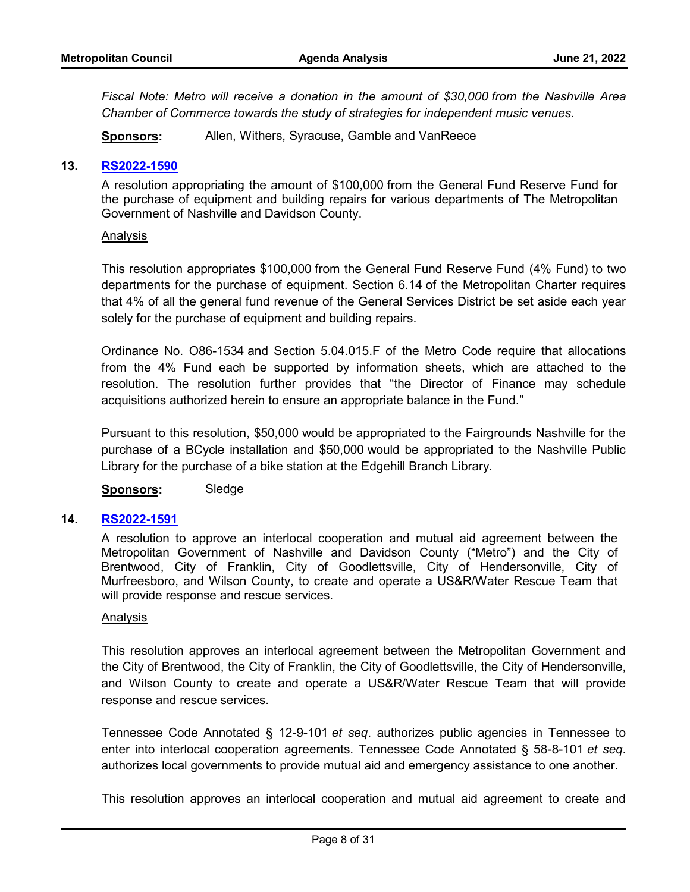*Fiscal Note: Metro will receive a donation in the amount of \$30,000 from the Nashville Area Chamber of Commerce towards the study of strategies for independent music venues.*

**Sponsors:** Allen, Withers, Syracuse, Gamble and VanReece

## **13. [RS2022-1590](http://nashville.legistar.com/gateway.aspx?m=l&id=/matter.aspx?key=14659)**

A resolution appropriating the amount of \$100,000 from the General Fund Reserve Fund for the purchase of equipment and building repairs for various departments of The Metropolitan Government of Nashville and Davidson County.

#### Analysis

This resolution appropriates \$100,000 from the General Fund Reserve Fund (4% Fund) to two departments for the purchase of equipment. Section 6.14 of the Metropolitan Charter requires that 4% of all the general fund revenue of the General Services District be set aside each year solely for the purchase of equipment and building repairs.

Ordinance No. O86-1534 and Section 5.04.015.F of the Metro Code require that allocations from the 4% Fund each be supported by information sheets, which are attached to the resolution. The resolution further provides that "the Director of Finance may schedule acquisitions authorized herein to ensure an appropriate balance in the Fund."

Pursuant to this resolution, \$50,000 would be appropriated to the Fairgrounds Nashville for the purchase of a BCycle installation and \$50,000 would be appropriated to the Nashville Public Library for the purchase of a bike station at the Edgehill Branch Library.

#### **Sponsors:** Sledge

## **14. [RS2022-1591](http://nashville.legistar.com/gateway.aspx?m=l&id=/matter.aspx?key=14629)**

A resolution to approve an interlocal cooperation and mutual aid agreement between the Metropolitan Government of Nashville and Davidson County ("Metro") and the City of Brentwood, City of Franklin, City of Goodlettsville, City of Hendersonville, City of Murfreesboro, and Wilson County, to create and operate a US&R/Water Rescue Team that will provide response and rescue services.

#### Analysis

This resolution approves an interlocal agreement between the Metropolitan Government and the City of Brentwood, the City of Franklin, the City of Goodlettsville, the City of Hendersonville, and Wilson County to create and operate a US&R/Water Rescue Team that will provide response and rescue services.

Tennessee Code Annotated § 12-9-101 *et seq*. authorizes public agencies in Tennessee to enter into interlocal cooperation agreements. Tennessee Code Annotated § 58-8-101 *et seq*. authorizes local governments to provide mutual aid and emergency assistance to one another.

This resolution approves an interlocal cooperation and mutual aid agreement to create and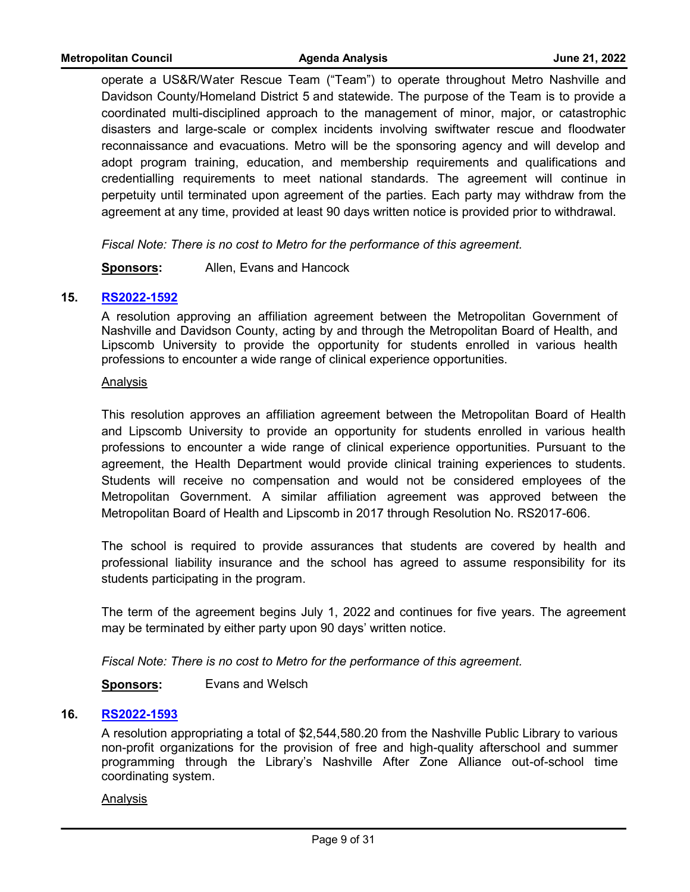operate a US&R/Water Rescue Team ("Team") to operate throughout Metro Nashville and Davidson County/Homeland District 5 and statewide. The purpose of the Team is to provide a coordinated multi-disciplined approach to the management of minor, major, or catastrophic disasters and large-scale or complex incidents involving swiftwater rescue and floodwater reconnaissance and evacuations. Metro will be the sponsoring agency and will develop and adopt program training, education, and membership requirements and qualifications and credentialling requirements to meet national standards. The agreement will continue in perpetuity until terminated upon agreement of the parties. Each party may withdraw from the agreement at any time, provided at least 90 days written notice is provided prior to withdrawal.

*Fiscal Note: There is no cost to Metro for the performance of this agreement.*

**Sponsors:** Allen, Evans and Hancock

#### **15. [RS2022-1592](http://nashville.legistar.com/gateway.aspx?m=l&id=/matter.aspx?key=14631)**

A resolution approving an affiliation agreement between the Metropolitan Government of Nashville and Davidson County, acting by and through the Metropolitan Board of Health, and Lipscomb University to provide the opportunity for students enrolled in various health professions to encounter a wide range of clinical experience opportunities.

#### Analysis

This resolution approves an affiliation agreement between the Metropolitan Board of Health and Lipscomb University to provide an opportunity for students enrolled in various health professions to encounter a wide range of clinical experience opportunities. Pursuant to the agreement, the Health Department would provide clinical training experiences to students. Students will receive no compensation and would not be considered employees of the Metropolitan Government. A similar affiliation agreement was approved between the Metropolitan Board of Health and Lipscomb in 2017 through Resolution No. RS2017-606.

The school is required to provide assurances that students are covered by health and professional liability insurance and the school has agreed to assume responsibility for its students participating in the program.

The term of the agreement begins July 1, 2022 and continues for five years. The agreement may be terminated by either party upon 90 days' written notice.

*Fiscal Note: There is no cost to Metro for the performance of this agreement.*

**Sponsors:** Evans and Welsch

#### **16. [RS2022-1593](http://nashville.legistar.com/gateway.aspx?m=l&id=/matter.aspx?key=14645)**

A resolution appropriating a total of \$2,544,580.20 from the Nashville Public Library to various non-profit organizations for the provision of free and high-quality afterschool and summer programming through the Library's Nashville After Zone Alliance out-of-school time coordinating system.

#### Analysis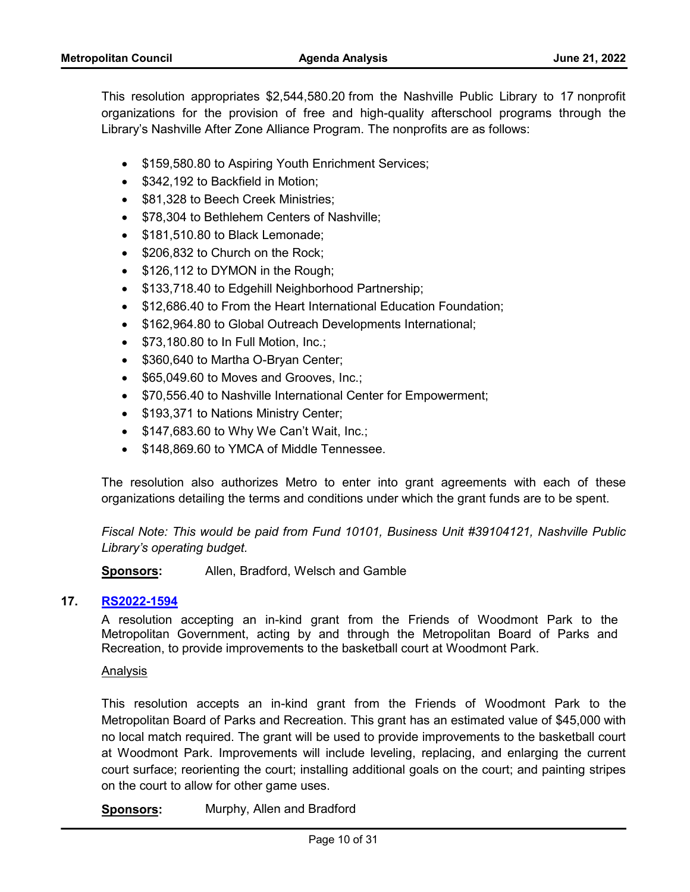This resolution appropriates \$2,544,580.20 from the Nashville Public Library to 17 nonprofit organizations for the provision of free and high-quality afterschool programs through the Library's Nashville After Zone Alliance Program. The nonprofits are as follows:

- \$159,580.80 to Aspiring Youth Enrichment Services;
- \$342,192 to Backfield in Motion:
- \$81,328 to Beech Creek Ministries;
- · \$78,304 to Bethlehem Centers of Nashville;
- · \$181,510.80 to Black Lemonade;
- \$206,832 to Church on the Rock;
- \$126,112 to DYMON in the Rough;
- \$133,718.40 to Edgehill Neighborhood Partnership;
- \$12,686.40 to From the Heart International Education Foundation;
- \$162,964.80 to Global Outreach Developments International;
- · \$73,180.80 to In Full Motion, Inc.;
- \$360,640 to Martha O-Bryan Center;
- \$65,049.60 to Moves and Grooves, Inc.;
- · \$70,556.40 to Nashville International Center for Empowerment;
- \$193,371 to Nations Ministry Center;
- $\bullet$  \$147,683.60 to Why We Can't Wait, Inc.;
- · \$148,869.60 to YMCA of Middle Tennessee.

The resolution also authorizes Metro to enter into grant agreements with each of these organizations detailing the terms and conditions under which the grant funds are to be spent.

*Fiscal Note: This would be paid from Fund 10101, Business Unit #39104121, Nashville Public Library's operating budget.*

**Sponsors:** Allen, Bradford, Welsch and Gamble

# **17. [RS2022-1594](http://nashville.legistar.com/gateway.aspx?m=l&id=/matter.aspx?key=14636)**

A resolution accepting an in-kind grant from the Friends of Woodmont Park to the Metropolitan Government, acting by and through the Metropolitan Board of Parks and Recreation, to provide improvements to the basketball court at Woodmont Park.

Analysis

This resolution accepts an in-kind grant from the Friends of Woodmont Park to the Metropolitan Board of Parks and Recreation. This grant has an estimated value of \$45,000 with no local match required. The grant will be used to provide improvements to the basketball court at Woodmont Park. Improvements will include leveling, replacing, and enlarging the current court surface; reorienting the court; installing additional goals on the court; and painting stripes on the court to allow for other game uses.

**Sponsors:** Murphy, Allen and Bradford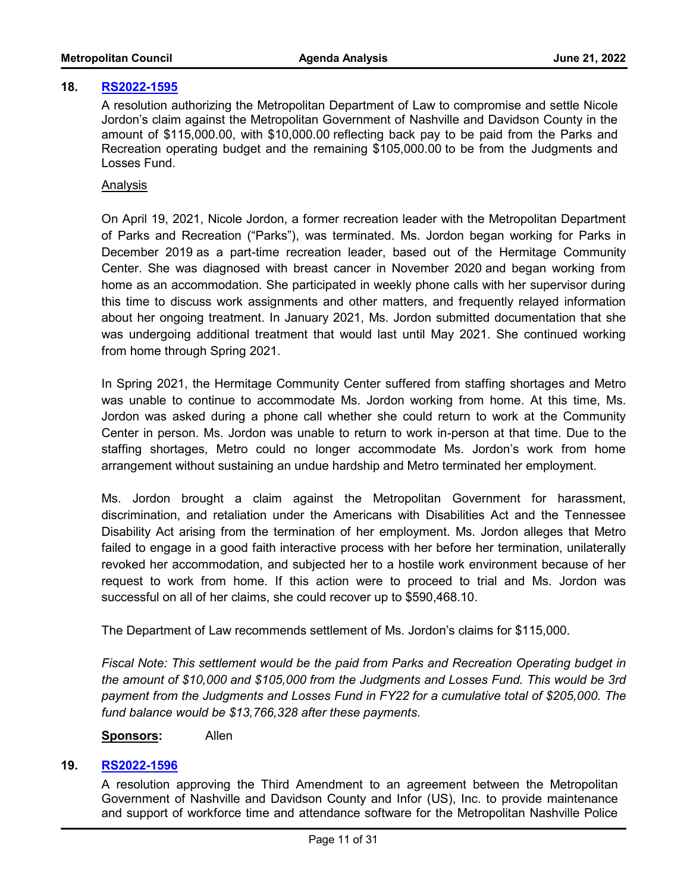#### **18. [RS2022-1595](http://nashville.legistar.com/gateway.aspx?m=l&id=/matter.aspx?key=14641)**

A resolution authorizing the Metropolitan Department of Law to compromise and settle Nicole Jordon's claim against the Metropolitan Government of Nashville and Davidson County in the amount of \$115,000.00, with \$10,000.00 reflecting back pay to be paid from the Parks and Recreation operating budget and the remaining \$105,000.00 to be from the Judgments and Losses Fund.

## **Analysis**

On April 19, 2021, Nicole Jordon, a former recreation leader with the Metropolitan Department of Parks and Recreation ("Parks"), was terminated. Ms. Jordon began working for Parks in December 2019 as a part-time recreation leader, based out of the Hermitage Community Center. She was diagnosed with breast cancer in November 2020 and began working from home as an accommodation. She participated in weekly phone calls with her supervisor during this time to discuss work assignments and other matters, and frequently relayed information about her ongoing treatment. In January 2021, Ms. Jordon submitted documentation that she was undergoing additional treatment that would last until May 2021. She continued working from home through Spring 2021.

In Spring 2021, the Hermitage Community Center suffered from staffing shortages and Metro was unable to continue to accommodate Ms. Jordon working from home. At this time, Ms. Jordon was asked during a phone call whether she could return to work at the Community Center in person. Ms. Jordon was unable to return to work in-person at that time. Due to the staffing shortages, Metro could no longer accommodate Ms. Jordon's work from home arrangement without sustaining an undue hardship and Metro terminated her employment.

Ms. Jordon brought a claim against the Metropolitan Government for harassment, discrimination, and retaliation under the Americans with Disabilities Act and the Tennessee Disability Act arising from the termination of her employment. Ms. Jordon alleges that Metro failed to engage in a good faith interactive process with her before her termination, unilaterally revoked her accommodation, and subjected her to a hostile work environment because of her request to work from home. If this action were to proceed to trial and Ms. Jordon was successful on all of her claims, she could recover up to \$590,468.10.

The Department of Law recommends settlement of Ms. Jordon's claims for \$115,000.

*Fiscal Note: This settlement would be the paid from Parks and Recreation Operating budget in the amount of \$10,000 and \$105,000 from the Judgments and Losses Fund. This would be 3rd payment from the Judgments and Losses Fund in FY22 for a cumulative total of \$205,000. The fund balance would be \$13,766,328 after these payments.*

**Sponsors:** Allen

## **19. [RS2022-1596](http://nashville.legistar.com/gateway.aspx?m=l&id=/matter.aspx?key=14626)**

A resolution approving the Third Amendment to an agreement between the Metropolitan Government of Nashville and Davidson County and Infor (US), Inc. to provide maintenance and support of workforce time and attendance software for the Metropolitan Nashville Police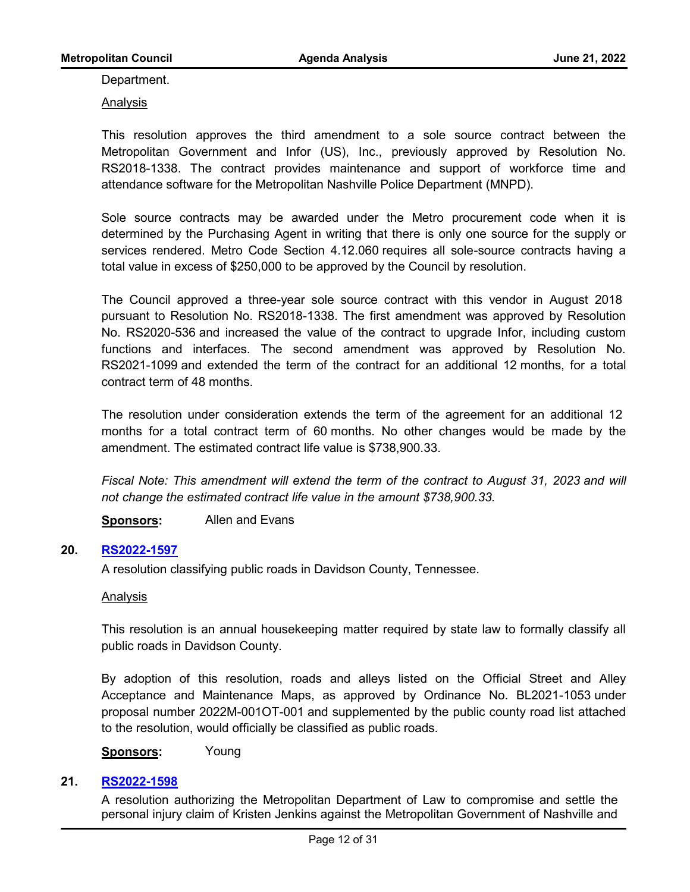Department.

Analysis

This resolution approves the third amendment to a sole source contract between the Metropolitan Government and Infor (US), Inc., previously approved by Resolution No. RS2018-1338. The contract provides maintenance and support of workforce time and attendance software for the Metropolitan Nashville Police Department (MNPD).

Sole source contracts may be awarded under the Metro procurement code when it is determined by the Purchasing Agent in writing that there is only one source for the supply or services rendered. Metro Code Section 4.12.060 requires all sole-source contracts having a total value in excess of \$250,000 to be approved by the Council by resolution.

The Council approved a three-year sole source contract with this vendor in August 2018 pursuant to Resolution No. RS2018-1338. The first amendment was approved by Resolution No. RS2020-536 and increased the value of the contract to upgrade Infor, including custom functions and interfaces. The second amendment was approved by Resolution No. RS2021-1099 and extended the term of the contract for an additional 12 months, for a total contract term of 48 months.

The resolution under consideration extends the term of the agreement for an additional 12 months for a total contract term of 60 months. No other changes would be made by the amendment. The estimated contract life value is \$738,900.33.

*Fiscal Note: This amendment will extend the term of the contract to August 31, 2023 and will not change the estimated contract life value in the amount \$738,900.33.*

**Sponsors:** Allen and Evans

#### **20. [RS2022-1597](http://nashville.legistar.com/gateway.aspx?m=l&id=/matter.aspx?key=14651)**

A resolution classifying public roads in Davidson County, Tennessee.

#### Analysis

This resolution is an annual housekeeping matter required by state law to formally classify all public roads in Davidson County.

By adoption of this resolution, roads and alleys listed on the Official Street and Alley Acceptance and Maintenance Maps, as approved by Ordinance No. BL2021-1053 under proposal number 2022M-001OT-001 and supplemented by the public county road list attached to the resolution, would officially be classified as public roads.

**Sponsors:** Young

# **21. [RS2022-1598](http://nashville.legistar.com/gateway.aspx?m=l&id=/matter.aspx?key=14640)**

A resolution authorizing the Metropolitan Department of Law to compromise and settle the personal injury claim of Kristen Jenkins against the Metropolitan Government of Nashville and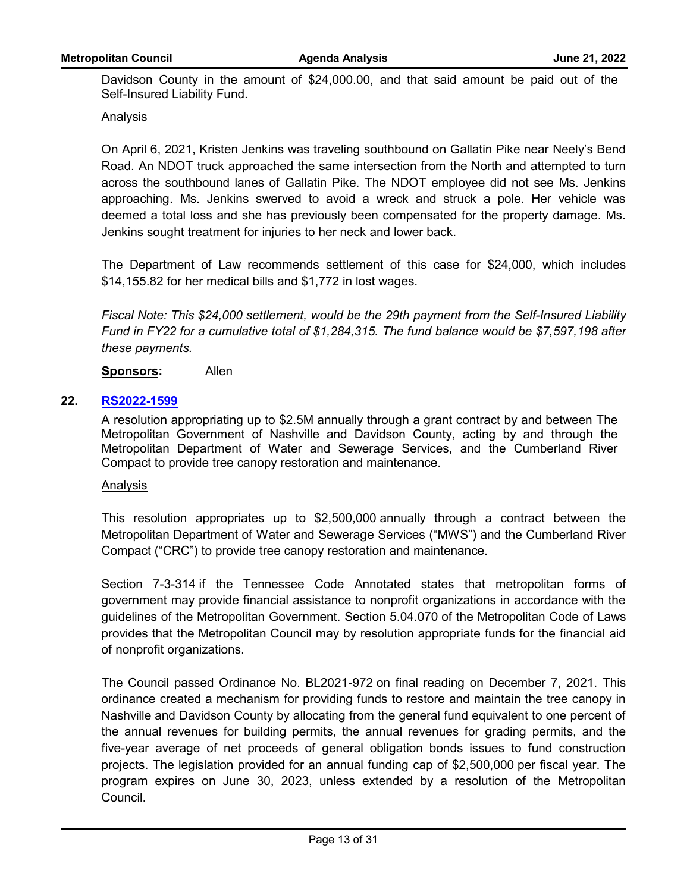Davidson County in the amount of \$24,000.00, and that said amount be paid out of the Self-Insured Liability Fund.

## Analysis

On April 6, 2021, Kristen Jenkins was traveling southbound on Gallatin Pike near Neely's Bend Road. An NDOT truck approached the same intersection from the North and attempted to turn across the southbound lanes of Gallatin Pike. The NDOT employee did not see Ms. Jenkins approaching. Ms. Jenkins swerved to avoid a wreck and struck a pole. Her vehicle was deemed a total loss and she has previously been compensated for the property damage. Ms. Jenkins sought treatment for injuries to her neck and lower back.

The Department of Law recommends settlement of this case for \$24,000, which includes \$14,155.82 for her medical bills and \$1,772 in lost wages.

*Fiscal Note: This \$24,000 settlement, would be the 29th payment from the Self-Insured Liability Fund in FY22 for a cumulative total of \$1,284,315. The fund balance would be \$7,597,198 after these payments.*

## **Sponsors:** Allen

## **22. [RS2022-1599](http://nashville.legistar.com/gateway.aspx?m=l&id=/matter.aspx?key=14625)**

A resolution appropriating up to \$2.5M annually through a grant contract by and between The Metropolitan Government of Nashville and Davidson County, acting by and through the Metropolitan Department of Water and Sewerage Services, and the Cumberland River Compact to provide tree canopy restoration and maintenance.

#### Analysis

This resolution appropriates up to \$2,500,000 annually through a contract between the Metropolitan Department of Water and Sewerage Services ("MWS") and the Cumberland River Compact ("CRC") to provide tree canopy restoration and maintenance.

Section 7-3-314 if the Tennessee Code Annotated states that metropolitan forms of government may provide financial assistance to nonprofit organizations in accordance with the guidelines of the Metropolitan Government. Section 5.04.070 of the Metropolitan Code of Laws provides that the Metropolitan Council may by resolution appropriate funds for the financial aid of nonprofit organizations.

The Council passed Ordinance No. BL2021-972 on final reading on December 7, 2021. This ordinance created a mechanism for providing funds to restore and maintain the tree canopy in Nashville and Davidson County by allocating from the general fund equivalent to one percent of the annual revenues for building permits, the annual revenues for grading permits, and the five-year average of net proceeds of general obligation bonds issues to fund construction projects. The legislation provided for an annual funding cap of \$2,500,000 per fiscal year. The program expires on June 30, 2023, unless extended by a resolution of the Metropolitan Council.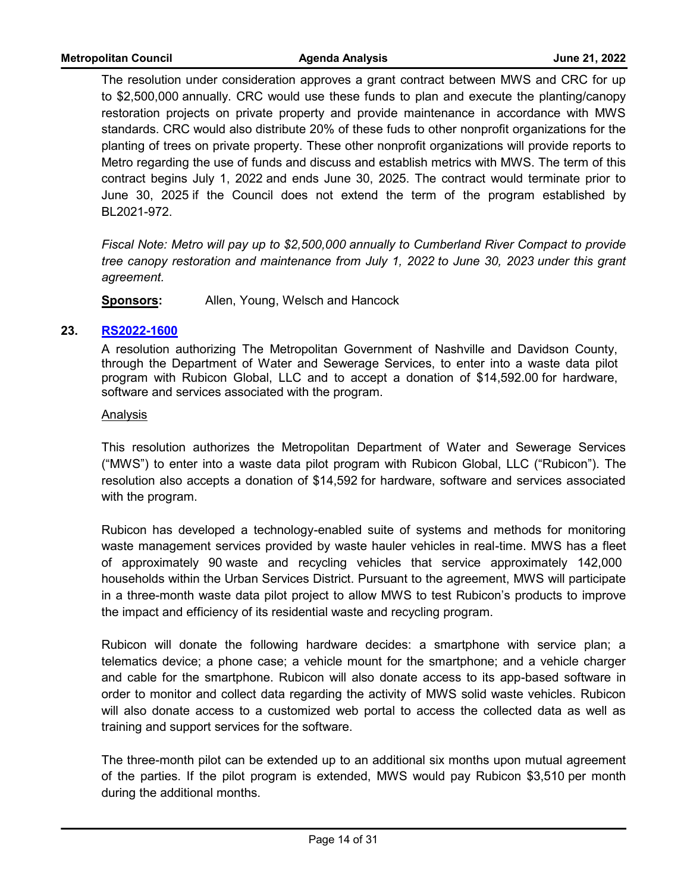The resolution under consideration approves a grant contract between MWS and CRC for up to \$2,500,000 annually. CRC would use these funds to plan and execute the planting/canopy restoration projects on private property and provide maintenance in accordance with MWS standards. CRC would also distribute 20% of these fuds to other nonprofit organizations for the planting of trees on private property. These other nonprofit organizations will provide reports to Metro regarding the use of funds and discuss and establish metrics with MWS. The term of this contract begins July 1, 2022 and ends June 30, 2025. The contract would terminate prior to June 30, 2025 if the Council does not extend the term of the program established by BL2021-972.

*Fiscal Note: Metro will pay up to \$2,500,000 annually to Cumberland River Compact to provide tree canopy restoration and maintenance from July 1, 2022 to June 30, 2023 under this grant agreement.* 

**Sponsors:** Allen, Young, Welsch and Hancock

#### **23. [RS2022-1600](http://nashville.legistar.com/gateway.aspx?m=l&id=/matter.aspx?key=14635)**

A resolution authorizing The Metropolitan Government of Nashville and Davidson County, through the Department of Water and Sewerage Services, to enter into a waste data pilot program with Rubicon Global, LLC and to accept a donation of \$14,592.00 for hardware, software and services associated with the program.

## Analysis

This resolution authorizes the Metropolitan Department of Water and Sewerage Services ("MWS") to enter into a waste data pilot program with Rubicon Global, LLC ("Rubicon"). The resolution also accepts a donation of \$14,592 for hardware, software and services associated with the program.

Rubicon has developed a technology-enabled suite of systems and methods for monitoring waste management services provided by waste hauler vehicles in real-time. MWS has a fleet of approximately 90 waste and recycling vehicles that service approximately 142,000 households within the Urban Services District. Pursuant to the agreement, MWS will participate in a three-month waste data pilot project to allow MWS to test Rubicon's products to improve the impact and efficiency of its residential waste and recycling program.

Rubicon will donate the following hardware decides: a smartphone with service plan; a telematics device; a phone case; a vehicle mount for the smartphone; and a vehicle charger and cable for the smartphone. Rubicon will also donate access to its app-based software in order to monitor and collect data regarding the activity of MWS solid waste vehicles. Rubicon will also donate access to a customized web portal to access the collected data as well as training and support services for the software.

The three-month pilot can be extended up to an additional six months upon mutual agreement of the parties. If the pilot program is extended, MWS would pay Rubicon \$3,510 per month during the additional months.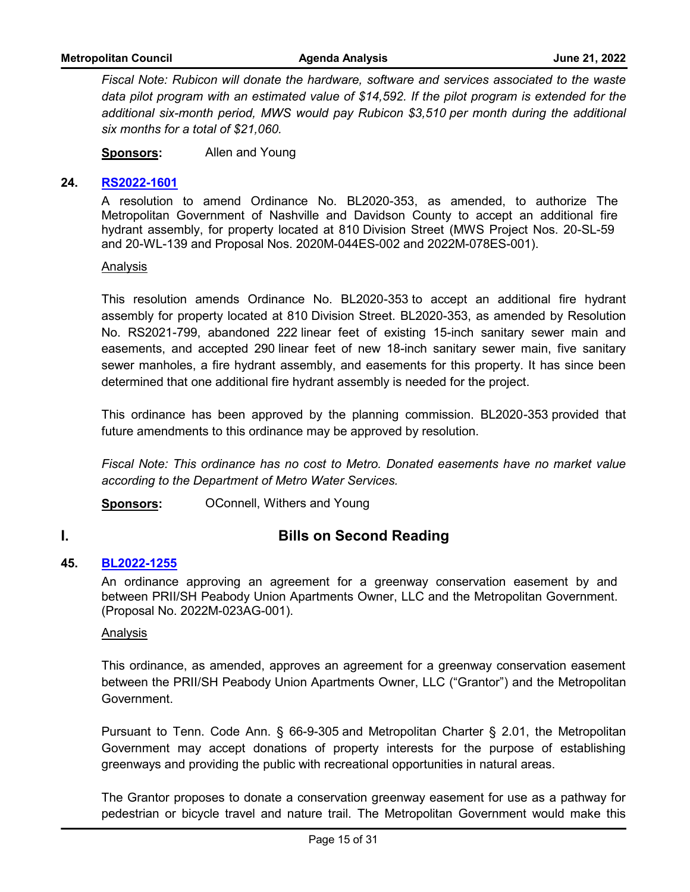*Fiscal Note: Rubicon will donate the hardware, software and services associated to the waste data pilot program with an estimated value of \$14,592. If the pilot program is extended for the additional six-month period, MWS would pay Rubicon \$3,510 per month during the additional six months for a total of \$21,060.*

**Sponsors:** Allen and Young

#### **24. [RS2022-1601](http://nashville.legistar.com/gateway.aspx?m=l&id=/matter.aspx?key=14634)**

A resolution to amend Ordinance No. BL2020-353, as amended, to authorize The Metropolitan Government of Nashville and Davidson County to accept an additional fire hydrant assembly, for property located at 810 Division Street (MWS Project Nos. 20-SL-59 and 20-WL-139 and Proposal Nos. 2020M-044ES-002 and 2022M-078ES-001).

Analysis

This resolution amends Ordinance No. BL2020-353 to accept an additional fire hydrant assembly for property located at 810 Division Street. BL2020-353, as amended by Resolution No. RS2021-799, abandoned 222 linear feet of existing 15-inch sanitary sewer main and easements, and accepted 290 linear feet of new 18-inch sanitary sewer main, five sanitary sewer manholes, a fire hydrant assembly, and easements for this property. It has since been determined that one additional fire hydrant assembly is needed for the project.

This ordinance has been approved by the planning commission. BL2020-353 provided that future amendments to this ordinance may be approved by resolution.

*Fiscal Note: This ordinance has no cost to Metro. Donated easements have no market value according to the Department of Metro Water Services.*

**Sponsors: OConnell, Withers and Young** 

# **I. Bills on Second Reading**

## **45. [BL2022-1255](http://nashville.legistar.com/gateway.aspx?m=l&id=/matter.aspx?key=14461)**

An ordinance approving an agreement for a greenway conservation easement by and between PRII/SH Peabody Union Apartments Owner, LLC and the Metropolitan Government. (Proposal No. 2022M-023AG-001).

Analysis

This ordinance, as amended, approves an agreement for a greenway conservation easement between the PRII/SH Peabody Union Apartments Owner, LLC ("Grantor") and the Metropolitan Government.

Pursuant to Tenn. Code Ann. § 66-9-305 and Metropolitan Charter § 2.01, the Metropolitan Government may accept donations of property interests for the purpose of establishing greenways and providing the public with recreational opportunities in natural areas.

The Grantor proposes to donate a conservation greenway easement for use as a pathway for pedestrian or bicycle travel and nature trail. The Metropolitan Government would make this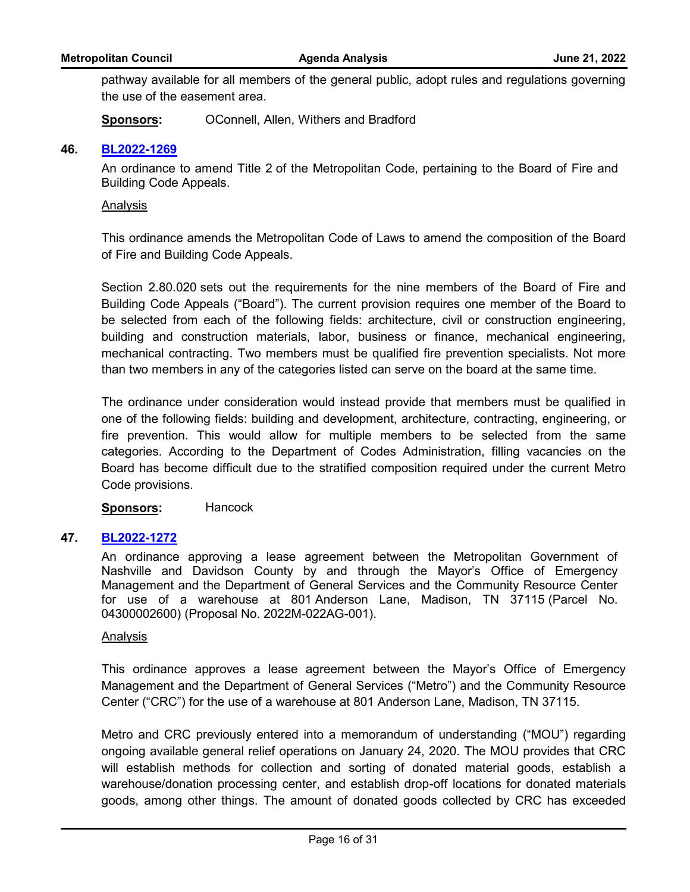pathway available for all members of the general public, adopt rules and regulations governing the use of the easement area.

**Sponsors:** OConnell, Allen, Withers and Bradford

#### **46. [BL2022-1269](http://nashville.legistar.com/gateway.aspx?m=l&id=/matter.aspx?key=14616)**

An ordinance to amend Title 2 of the Metropolitan Code, pertaining to the Board of Fire and Building Code Appeals.

#### Analysis

This ordinance amends the Metropolitan Code of Laws to amend the composition of the Board of Fire and Building Code Appeals.

Section 2.80.020 sets out the requirements for the nine members of the Board of Fire and Building Code Appeals ("Board"). The current provision requires one member of the Board to be selected from each of the following fields: architecture, civil or construction engineering, building and construction materials, labor, business or finance, mechanical engineering, mechanical contracting. Two members must be qualified fire prevention specialists. Not more than two members in any of the categories listed can serve on the board at the same time.

The ordinance under consideration would instead provide that members must be qualified in one of the following fields: building and development, architecture, contracting, engineering, or fire prevention. This would allow for multiple members to be selected from the same categories. According to the Department of Codes Administration, filling vacancies on the Board has become difficult due to the stratified composition required under the current Metro Code provisions.

## **Sponsors:** Hancock

#### **47. [BL2022-1272](http://nashville.legistar.com/gateway.aspx?m=l&id=/matter.aspx?key=14521)**

An ordinance approving a lease agreement between the Metropolitan Government of Nashville and Davidson County by and through the Mayor's Office of Emergency Management and the Department of General Services and the Community Resource Center for use of a warehouse at 801 Anderson Lane, Madison, TN 37115 (Parcel No. 04300002600) (Proposal No. 2022M-022AG-001).

#### Analysis

This ordinance approves a lease agreement between the Mayor's Office of Emergency Management and the Department of General Services ("Metro") and the Community Resource Center ("CRC") for the use of a warehouse at 801 Anderson Lane, Madison, TN 37115.

Metro and CRC previously entered into a memorandum of understanding ("MOU") regarding ongoing available general relief operations on January 24, 2020. The MOU provides that CRC will establish methods for collection and sorting of donated material goods, establish a warehouse/donation processing center, and establish drop-off locations for donated materials goods, among other things. The amount of donated goods collected by CRC has exceeded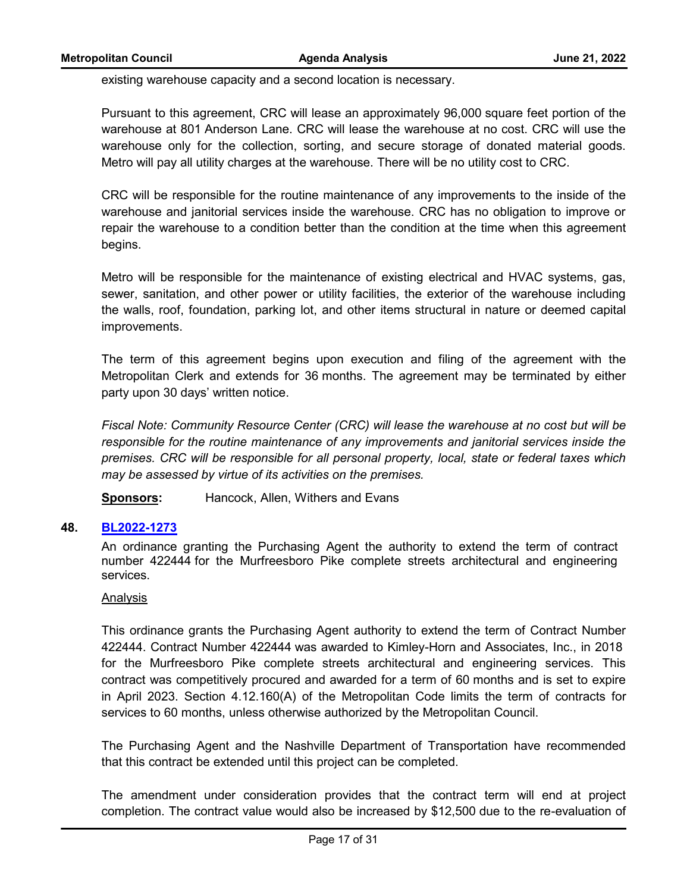existing warehouse capacity and a second location is necessary.

Pursuant to this agreement, CRC will lease an approximately 96,000 square feet portion of the warehouse at 801 Anderson Lane. CRC will lease the warehouse at no cost. CRC will use the warehouse only for the collection, sorting, and secure storage of donated material goods. Metro will pay all utility charges at the warehouse. There will be no utility cost to CRC.

CRC will be responsible for the routine maintenance of any improvements to the inside of the warehouse and janitorial services inside the warehouse. CRC has no obligation to improve or repair the warehouse to a condition better than the condition at the time when this agreement begins.

Metro will be responsible for the maintenance of existing electrical and HVAC systems, gas, sewer, sanitation, and other power or utility facilities, the exterior of the warehouse including the walls, roof, foundation, parking lot, and other items structural in nature or deemed capital improvements.

The term of this agreement begins upon execution and filing of the agreement with the Metropolitan Clerk and extends for 36 months. The agreement may be terminated by either party upon 30 days' written notice.

*Fiscal Note: Community Resource Center (CRC) will lease the warehouse at no cost but will be responsible for the routine maintenance of any improvements and janitorial services inside the premises. CRC will be responsible for all personal property, local, state or federal taxes which may be assessed by virtue of its activities on the premises.*

**Sponsors:** Hancock, Allen, Withers and Evans

## **48. [BL2022-1273](http://nashville.legistar.com/gateway.aspx?m=l&id=/matter.aspx?key=14583)**

An ordinance granting the Purchasing Agent the authority to extend the term of contract number 422444 for the Murfreesboro Pike complete streets architectural and engineering services.

#### Analysis

This ordinance grants the Purchasing Agent authority to extend the term of Contract Number 422444. Contract Number 422444 was awarded to Kimley-Horn and Associates, Inc., in 2018 for the Murfreesboro Pike complete streets architectural and engineering services. This contract was competitively procured and awarded for a term of 60 months and is set to expire in April 2023. Section 4.12.160(A) of the Metropolitan Code limits the term of contracts for services to 60 months, unless otherwise authorized by the Metropolitan Council.

The Purchasing Agent and the Nashville Department of Transportation have recommended that this contract be extended until this project can be completed.

The amendment under consideration provides that the contract term will end at project completion. The contract value would also be increased by \$12,500 due to the re-evaluation of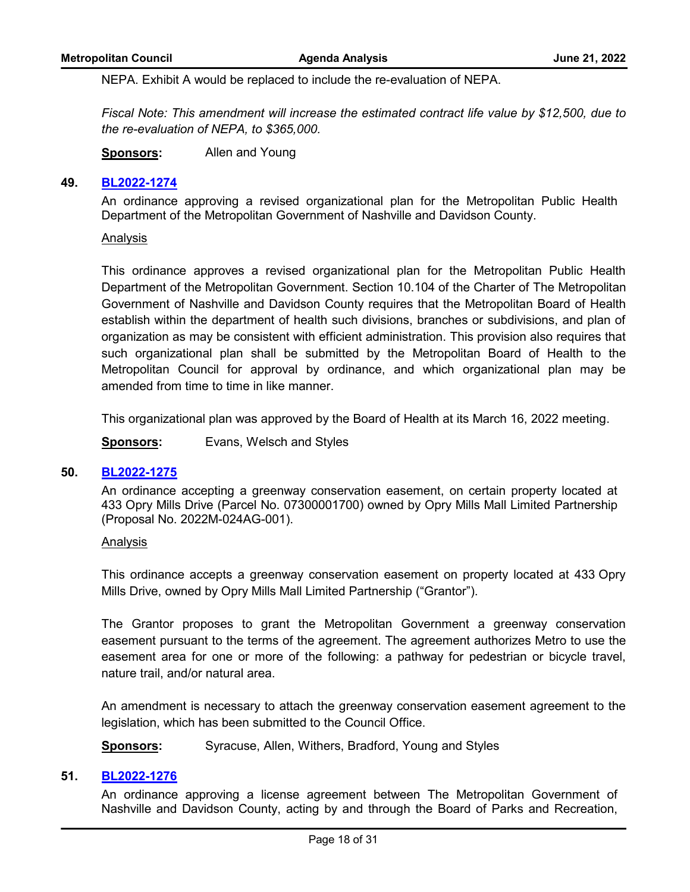NEPA. Exhibit A would be replaced to include the re-evaluation of NEPA.

*Fiscal Note: This amendment will increase the estimated contract life value by \$12,500, due to the re-evaluation of NEPA, to \$365,000.*

**Sponsors:** Allen and Young

#### **49. [BL2022-1274](http://nashville.legistar.com/gateway.aspx?m=l&id=/matter.aspx?key=14603)**

An ordinance approving a revised organizational plan for the Metropolitan Public Health Department of the Metropolitan Government of Nashville and Davidson County.

#### Analysis

This ordinance approves a revised organizational plan for the Metropolitan Public Health Department of the Metropolitan Government. Section 10.104 of the Charter of The Metropolitan Government of Nashville and Davidson County requires that the Metropolitan Board of Health establish within the department of health such divisions, branches or subdivisions, and plan of organization as may be consistent with efficient administration. This provision also requires that such organizational plan shall be submitted by the Metropolitan Board of Health to the Metropolitan Council for approval by ordinance, and which organizational plan may be amended from time to time in like manner.

This organizational plan was approved by the Board of Health at its March 16, 2022 meeting.

**Sponsors:** Evans, Welsch and Styles

## **50. [BL2022-1275](http://nashville.legistar.com/gateway.aspx?m=l&id=/matter.aspx?key=14604)**

An ordinance accepting a greenway conservation easement, on certain property located at 433 Opry Mills Drive (Parcel No. 07300001700) owned by Opry Mills Mall Limited Partnership (Proposal No. 2022M-024AG-001).

#### Analysis

This ordinance accepts a greenway conservation easement on property located at 433 Opry Mills Drive, owned by Opry Mills Mall Limited Partnership ("Grantor").

The Grantor proposes to grant the Metropolitan Government a greenway conservation easement pursuant to the terms of the agreement. The agreement authorizes Metro to use the easement area for one or more of the following: a pathway for pedestrian or bicycle travel, nature trail, and/or natural area.

An amendment is necessary to attach the greenway conservation easement agreement to the legislation, which has been submitted to the Council Office.

**Sponsors:** Syracuse, Allen, Withers, Bradford, Young and Styles

#### **51. [BL2022-1276](http://nashville.legistar.com/gateway.aspx?m=l&id=/matter.aspx?key=14526)**

An ordinance approving a license agreement between The Metropolitan Government of Nashville and Davidson County, acting by and through the Board of Parks and Recreation,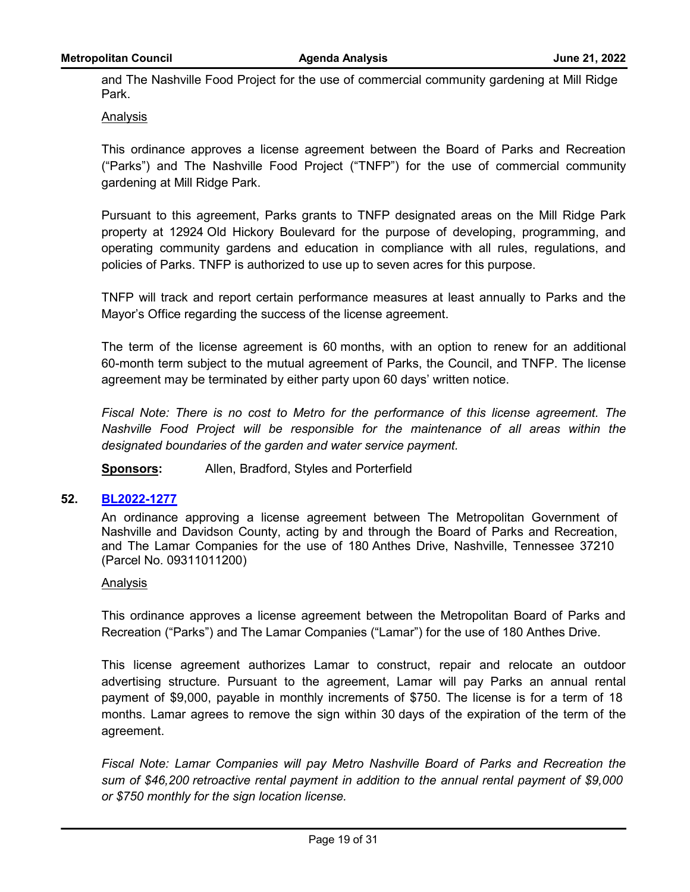and The Nashville Food Project for the use of commercial community gardening at Mill Ridge Park.

## Analysis

This ordinance approves a license agreement between the Board of Parks and Recreation ("Parks") and The Nashville Food Project ("TNFP") for the use of commercial community gardening at Mill Ridge Park.

Pursuant to this agreement, Parks grants to TNFP designated areas on the Mill Ridge Park property at 12924 Old Hickory Boulevard for the purpose of developing, programming, and operating community gardens and education in compliance with all rules, regulations, and policies of Parks. TNFP is authorized to use up to seven acres for this purpose.

TNFP will track and report certain performance measures at least annually to Parks and the Mayor's Office regarding the success of the license agreement.

The term of the license agreement is 60 months, with an option to renew for an additional 60-month term subject to the mutual agreement of Parks, the Council, and TNFP. The license agreement may be terminated by either party upon 60 days' written notice.

*Fiscal Note: There is no cost to Metro for the performance of this license agreement. The Nashville Food Project will be responsible for the maintenance of all areas within the designated boundaries of the garden and water service payment.*

**Sponsors:** Allen, Bradford, Styles and Porterfield

## **52. [BL2022-1277](http://nashville.legistar.com/gateway.aspx?m=l&id=/matter.aspx?key=14527)**

An ordinance approving a license agreement between The Metropolitan Government of Nashville and Davidson County, acting by and through the Board of Parks and Recreation, and The Lamar Companies for the use of 180 Anthes Drive, Nashville, Tennessee 37210 (Parcel No. 09311011200)

#### Analysis

This ordinance approves a license agreement between the Metropolitan Board of Parks and Recreation ("Parks") and The Lamar Companies ("Lamar") for the use of 180 Anthes Drive.

This license agreement authorizes Lamar to construct, repair and relocate an outdoor advertising structure. Pursuant to the agreement, Lamar will pay Parks an annual rental payment of \$9,000, payable in monthly increments of \$750. The license is for a term of 18 months. Lamar agrees to remove the sign within 30 days of the expiration of the term of the agreement.

*Fiscal Note: Lamar Companies will pay Metro Nashville Board of Parks and Recreation the sum of \$46,200 retroactive rental payment in addition to the annual rental payment of \$9,000 or \$750 monthly for the sign location license.*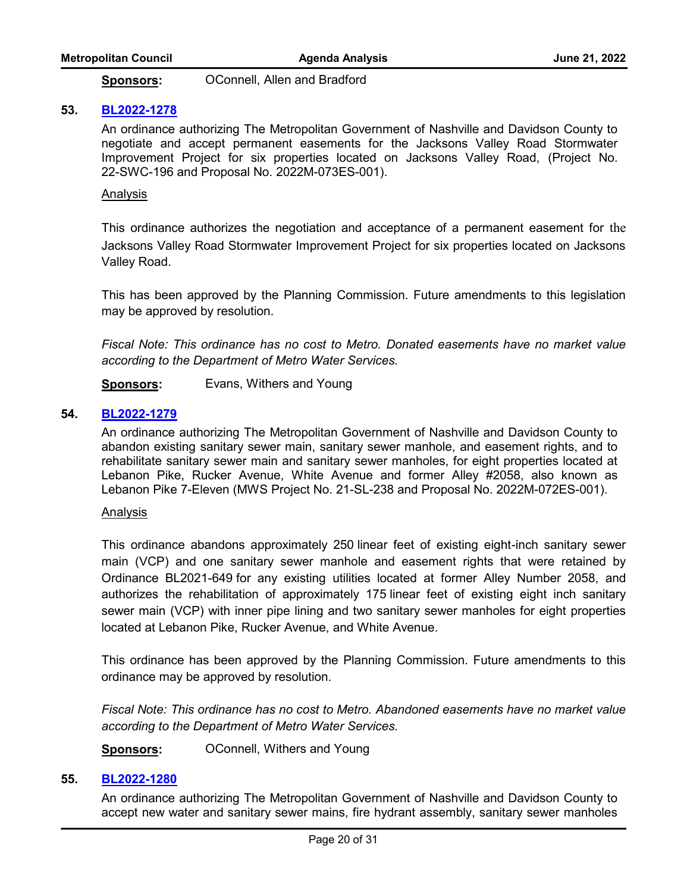**Sponsors:** OConnell, Allen and Bradford

#### **53. [BL2022-1278](http://nashville.legistar.com/gateway.aspx?m=l&id=/matter.aspx?key=14524)**

An ordinance authorizing The Metropolitan Government of Nashville and Davidson County to negotiate and accept permanent easements for the Jacksons Valley Road Stormwater Improvement Project for six properties located on Jacksons Valley Road, (Project No. 22-SWC-196 and Proposal No. 2022M-073ES-001).

#### Analysis

This ordinance authorizes the negotiation and acceptance of a permanent easement for the Jacksons Valley Road Stormwater Improvement Project for six properties located on Jacksons Valley Road.

This has been approved by the Planning Commission. Future amendments to this legislation may be approved by resolution.

*Fiscal Note: This ordinance has no cost to Metro. Donated easements have no market value according to the Department of Metro Water Services.*

**Sponsors:** Evans, Withers and Young

## **54. [BL2022-1279](http://nashville.legistar.com/gateway.aspx?m=l&id=/matter.aspx?key=14522)**

An ordinance authorizing The Metropolitan Government of Nashville and Davidson County to abandon existing sanitary sewer main, sanitary sewer manhole, and easement rights, and to rehabilitate sanitary sewer main and sanitary sewer manholes, for eight properties located at Lebanon Pike, Rucker Avenue, White Avenue and former Alley #2058, also known as Lebanon Pike 7-Eleven (MWS Project No. 21-SL-238 and Proposal No. 2022M-072ES-001).

#### Analysis

This ordinance abandons approximately 250 linear feet of existing eight-inch sanitary sewer main (VCP) and one sanitary sewer manhole and easement rights that were retained by Ordinance BL2021-649 for any existing utilities located at former Alley Number 2058, and authorizes the rehabilitation of approximately 175 linear feet of existing eight inch sanitary sewer main (VCP) with inner pipe lining and two sanitary sewer manholes for eight properties located at Lebanon Pike, Rucker Avenue, and White Avenue.

This ordinance has been approved by the Planning Commission. Future amendments to this ordinance may be approved by resolution.

*Fiscal Note: This ordinance has no cost to Metro. Abandoned easements have no market value according to the Department of Metro Water Services.*

**Sponsors: OConnell, Withers and Young** 

#### **55. [BL2022-1280](http://nashville.legistar.com/gateway.aspx?m=l&id=/matter.aspx?key=14523)**

An ordinance authorizing The Metropolitan Government of Nashville and Davidson County to accept new water and sanitary sewer mains, fire hydrant assembly, sanitary sewer manholes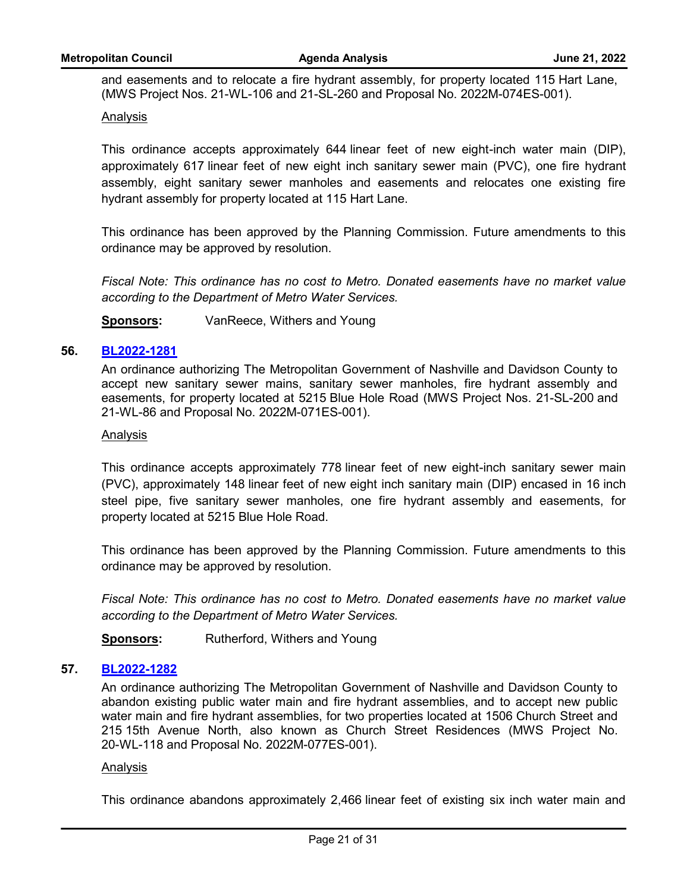and easements and to relocate a fire hydrant assembly, for property located 115 Hart Lane, (MWS Project Nos. 21-WL-106 and 21-SL-260 and Proposal No. 2022M-074ES-001).

## Analysis

This ordinance accepts approximately 644 linear feet of new eight-inch water main (DIP), approximately 617 linear feet of new eight inch sanitary sewer main (PVC), one fire hydrant assembly, eight sanitary sewer manholes and easements and relocates one existing fire hydrant assembly for property located at 115 Hart Lane.

This ordinance has been approved by the Planning Commission. Future amendments to this ordinance may be approved by resolution.

*Fiscal Note: This ordinance has no cost to Metro. Donated easements have no market value according to the Department of Metro Water Services.*

**Sponsors:** VanReece, Withers and Young

## **56. [BL2022-1281](http://nashville.legistar.com/gateway.aspx?m=l&id=/matter.aspx?key=14525)**

An ordinance authorizing The Metropolitan Government of Nashville and Davidson County to accept new sanitary sewer mains, sanitary sewer manholes, fire hydrant assembly and easements, for property located at 5215 Blue Hole Road (MWS Project Nos. 21-SL-200 and 21-WL-86 and Proposal No. 2022M-071ES-001).

#### Analysis

This ordinance accepts approximately 778 linear feet of new eight-inch sanitary sewer main (PVC), approximately 148 linear feet of new eight inch sanitary main (DIP) encased in 16 inch steel pipe, five sanitary sewer manholes, one fire hydrant assembly and easements, for property located at 5215 Blue Hole Road.

This ordinance has been approved by the Planning Commission. Future amendments to this ordinance may be approved by resolution.

*Fiscal Note: This ordinance has no cost to Metro. Donated easements have no market value according to the Department of Metro Water Services.*

**Sponsors:** Rutherford, Withers and Young

## **57. [BL2022-1282](http://nashville.legistar.com/gateway.aspx?m=l&id=/matter.aspx?key=14607)**

An ordinance authorizing The Metropolitan Government of Nashville and Davidson County to abandon existing public water main and fire hydrant assemblies, and to accept new public water main and fire hydrant assemblies, for two properties located at 1506 Church Street and 215 15th Avenue North, also known as Church Street Residences (MWS Project No. 20-WL-118 and Proposal No. 2022M-077ES-001).

#### Analysis

This ordinance abandons approximately 2,466 linear feet of existing six inch water main and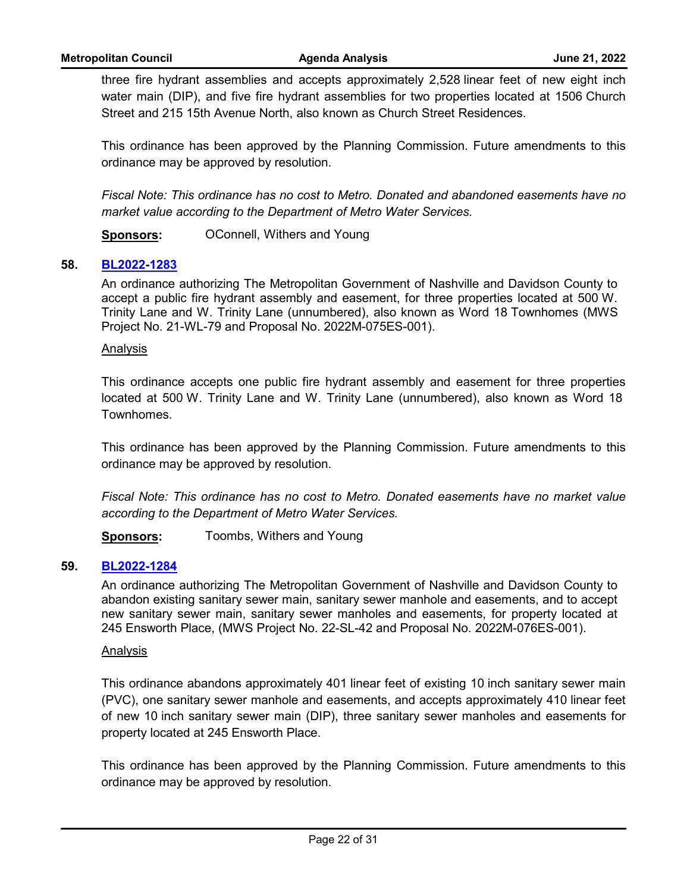three fire hydrant assemblies and accepts approximately 2,528 linear feet of new eight inch water main (DIP), and five fire hydrant assemblies for two properties located at 1506 Church Street and 215 15th Avenue North, also known as Church Street Residences.

This ordinance has been approved by the Planning Commission. Future amendments to this ordinance may be approved by resolution.

*Fiscal Note: This ordinance has no cost to Metro. Donated and abandoned easements have no market value according to the Department of Metro Water Services.*

**Sponsors: OConnell, Withers and Young** 

## **58. [BL2022-1283](http://nashville.legistar.com/gateway.aspx?m=l&id=/matter.aspx?key=14601)**

An ordinance authorizing The Metropolitan Government of Nashville and Davidson County to accept a public fire hydrant assembly and easement, for three properties located at 500 W. Trinity Lane and W. Trinity Lane (unnumbered), also known as Word 18 Townhomes (MWS Project No. 21-WL-79 and Proposal No. 2022M-075ES-001).

#### Analysis

This ordinance accepts one public fire hydrant assembly and easement for three properties located at 500 W. Trinity Lane and W. Trinity Lane (unnumbered), also known as Word 18 Townhomes.

This ordinance has been approved by the Planning Commission. Future amendments to this ordinance may be approved by resolution.

*Fiscal Note: This ordinance has no cost to Metro. Donated easements have no market value according to the Department of Metro Water Services.*

**Sponsors:** Toombs, Withers and Young

## **59. [BL2022-1284](http://nashville.legistar.com/gateway.aspx?m=l&id=/matter.aspx?key=14602)**

An ordinance authorizing The Metropolitan Government of Nashville and Davidson County to abandon existing sanitary sewer main, sanitary sewer manhole and easements, and to accept new sanitary sewer main, sanitary sewer manholes and easements, for property located at 245 Ensworth Place, (MWS Project No. 22-SL-42 and Proposal No. 2022M-076ES-001).

#### Analysis

This ordinance abandons approximately 401 linear feet of existing 10 inch sanitary sewer main (PVC), one sanitary sewer manhole and easements, and accepts approximately 410 linear feet of new 10 inch sanitary sewer main (DIP), three sanitary sewer manholes and easements for property located at 245 Ensworth Place.

This ordinance has been approved by the Planning Commission. Future amendments to this ordinance may be approved by resolution.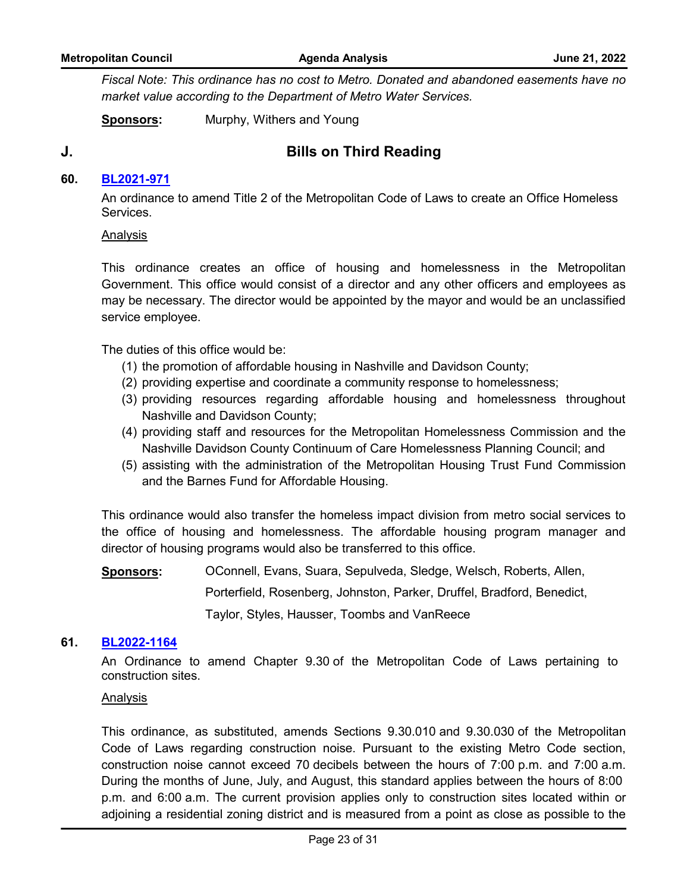*Fiscal Note: This ordinance has no cost to Metro. Donated and abandoned easements have no market value according to the Department of Metro Water Services.*

**Sponsors:** Murphy, Withers and Young

# **J. Bills on Third Reading**

## **60. [BL2021-971](http://nashville.legistar.com/gateway.aspx?m=l&id=/matter.aspx?key=13734)**

An ordinance to amend Title 2 of the Metropolitan Code of Laws to create an Office Homeless Services.

#### Analysis

This ordinance creates an office of housing and homelessness in the Metropolitan Government. This office would consist of a director and any other officers and employees as may be necessary. The director would be appointed by the mayor and would be an unclassified service employee.

The duties of this office would be:

- (1) the promotion of affordable housing in Nashville and Davidson County;
- (2) providing expertise and coordinate a community response to homelessness;
- (3) providing resources regarding affordable housing and homelessness throughout Nashville and Davidson County;
- (4) providing staff and resources for the Metropolitan Homelessness Commission and the Nashville Davidson County Continuum of Care Homelessness Planning Council; and
- (5) assisting with the administration of the Metropolitan Housing Trust Fund Commission and the Barnes Fund for Affordable Housing.

This ordinance would also transfer the homeless impact division from metro social services to the office of housing and homelessness. The affordable housing program manager and director of housing programs would also be transferred to this office.

**Sponsors:** OConnell, Evans, Suara, Sepulveda, Sledge, Welsch, Roberts, Allen, Porterfield, Rosenberg, Johnston, Parker, Druffel, Bradford, Benedict, Taylor, Styles, Hausser, Toombs and VanReece

## **61. [BL2022-1164](http://nashville.legistar.com/gateway.aspx?m=l&id=/matter.aspx?key=14241)**

An Ordinance to amend Chapter 9.30 of the Metropolitan Code of Laws pertaining to construction sites.

#### Analysis

This ordinance, as substituted, amends Sections 9.30.010 and 9.30.030 of the Metropolitan Code of Laws regarding construction noise. Pursuant to the existing Metro Code section, construction noise cannot exceed 70 decibels between the hours of 7:00 p.m. and 7:00 a.m. During the months of June, July, and August, this standard applies between the hours of 8:00 p.m. and 6:00 a.m. The current provision applies only to construction sites located within or adjoining a residential zoning district and is measured from a point as close as possible to the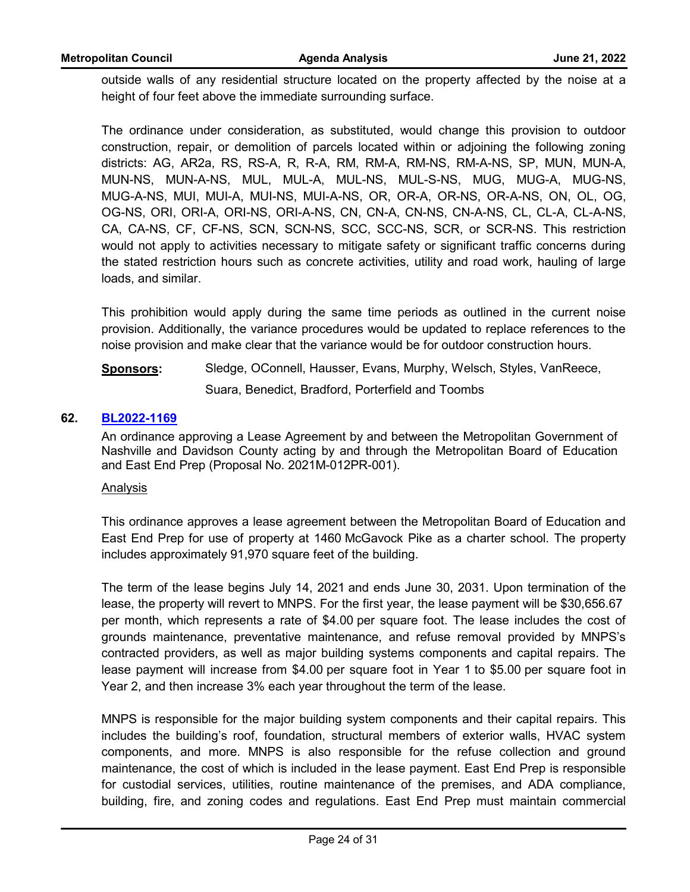outside walls of any residential structure located on the property affected by the noise at a height of four feet above the immediate surrounding surface.

The ordinance under consideration, as substituted, would change this provision to outdoor construction, repair, or demolition of parcels located within or adjoining the following zoning districts: AG, AR2a, RS, RS-A, R, R-A, RM, RM-A, RM-NS, RM-A-NS, SP, MUN, MUN-A, MUN-NS, MUN-A-NS, MUL, MUL-A, MUL-NS, MUL-S-NS, MUG, MUG-A, MUG-NS, MUG-A-NS, MUI, MUI-A, MUI-NS, MUI-A-NS, OR, OR-A, OR-NS, OR-A-NS, ON, OL, OG, OG-NS, ORI, ORI-A, ORI-NS, ORI-A-NS, CN, CN-A, CN-NS, CN-A-NS, CL, CL-A, CL-A-NS, CA, CA-NS, CF, CF-NS, SCN, SCN-NS, SCC, SCC-NS, SCR, or SCR-NS. This restriction would not apply to activities necessary to mitigate safety or significant traffic concerns during the stated restriction hours such as concrete activities, utility and road work, hauling of large loads, and similar.

This prohibition would apply during the same time periods as outlined in the current noise provision. Additionally, the variance procedures would be updated to replace references to the noise provision and make clear that the variance would be for outdoor construction hours.

**Sponsors:** Sledge, OConnell, Hausser, Evans, Murphy, Welsch, Styles, VanReece, Suara, Benedict, Bradford, Porterfield and Toombs

## **62. [BL2022-1169](http://nashville.legistar.com/gateway.aspx?m=l&id=/matter.aspx?key=14261)**

An ordinance approving a Lease Agreement by and between the Metropolitan Government of Nashville and Davidson County acting by and through the Metropolitan Board of Education and East End Prep (Proposal No. 2021M-012PR-001).

#### Analysis

This ordinance approves a lease agreement between the Metropolitan Board of Education and East End Prep for use of property at 1460 McGavock Pike as a charter school. The property includes approximately 91,970 square feet of the building.

The term of the lease begins July 14, 2021 and ends June 30, 2031. Upon termination of the lease, the property will revert to MNPS. For the first year, the lease payment will be \$30,656.67 per month, which represents a rate of \$4.00 per square foot. The lease includes the cost of grounds maintenance, preventative maintenance, and refuse removal provided by MNPS's contracted providers, as well as major building systems components and capital repairs. The lease payment will increase from \$4.00 per square foot in Year 1 to \$5.00 per square foot in Year 2, and then increase 3% each year throughout the term of the lease.

MNPS is responsible for the major building system components and their capital repairs. This includes the building's roof, foundation, structural members of exterior walls, HVAC system components, and more. MNPS is also responsible for the refuse collection and ground maintenance, the cost of which is included in the lease payment. East End Prep is responsible for custodial services, utilities, routine maintenance of the premises, and ADA compliance, building, fire, and zoning codes and regulations. East End Prep must maintain commercial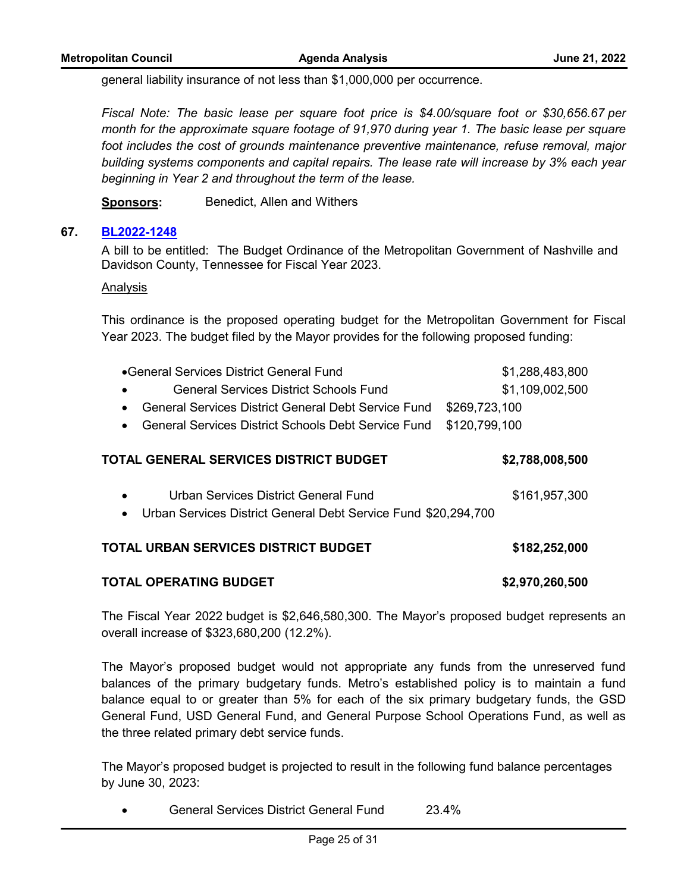general liability insurance of not less than \$1,000,000 per occurrence.

*Fiscal Note: The basic lease per square foot price is \$4.00/square foot or \$30,656.67 per month for the approximate square footage of 91,970 during year 1. The basic lease per square foot includes the cost of grounds maintenance preventive maintenance, refuse removal, major building systems components and capital repairs. The lease rate will increase by 3% each year beginning in Year 2 and throughout the term of the lease.* 

**Sponsors:** Benedict, Allen and Withers

## **67. [BL2022-1248](http://nashville.legistar.com/gateway.aspx?m=l&id=/matter.aspx?key=14439)**

A bill to be entitled: The Budget Ordinance of the Metropolitan Government of Nashville and Davidson County, Tennessee for Fiscal Year 2023.

#### Analysis

This ordinance is the proposed operating budget for the Metropolitan Government for Fiscal Year 2023. The budget filed by the Mayor provides for the following proposed funding:

| ● General Services District General Fund<br>General Services District Schools Fund                                                           | \$1,288,483,800<br>\$1,109,002,500 |
|----------------------------------------------------------------------------------------------------------------------------------------------|------------------------------------|
| General Services District General Debt Service Fund<br>\$269,723,100<br>\$120,799,100<br>General Services District Schools Debt Service Fund |                                    |
| TOTAL GENERAL SERVICES DISTRICT BUDGET                                                                                                       | \$2,788,008,500                    |
| Urban Services District General Fund<br>$\bullet$<br>Urban Services District General Debt Service Fund \$20,294,700<br>$\bullet$             | \$161,957,300                      |
| TOTAL URBAN SERVICES DISTRICT BUDGET                                                                                                         | \$182,252,000                      |
| TOTAL OPERATING BUDGET                                                                                                                       | \$2,970,260,500                    |

The Fiscal Year 2022 budget is \$2,646,580,300. The Mayor's proposed budget represents an overall increase of \$323,680,200 (12.2%).

The Mayor's proposed budget would not appropriate any funds from the unreserved fund balances of the primary budgetary funds. Metro's established policy is to maintain a fund balance equal to or greater than 5% for each of the six primary budgetary funds, the GSD General Fund, USD General Fund, and General Purpose School Operations Fund, as well as the three related primary debt service funds.

The Mayor's proposed budget is projected to result in the following fund balance percentages by June 30, 2023:

· General Services District General Fund 23.4%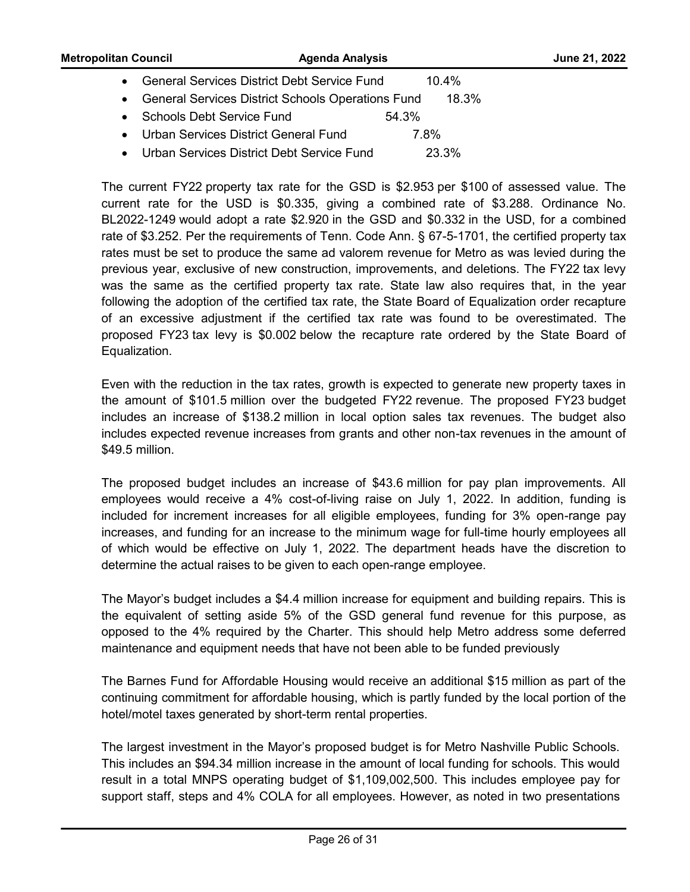| <b>Metropolitan Council</b> | <b>Agenda Analysis</b>                                   |          | June 21, 2022 |
|-----------------------------|----------------------------------------------------------|----------|---------------|
|                             | <b>General Services District Debt Service Fund</b>       | $10.4\%$ |               |
|                             | <b>General Services District Schools Operations Fund</b> | 18.3%    |               |
|                             | Schools Debt Service Fund                                | 54.3%    |               |
|                             | Urban Services District General Fund                     | 7.8%     |               |

· Urban Services District Debt Service Fund 23.3%

The current FY22 property tax rate for the GSD is \$2.953 per \$100 of assessed value. The current rate for the USD is \$0.335, giving a combined rate of \$3.288. Ordinance No. BL2022-1249 would adopt a rate \$2.920 in the GSD and \$0.332 in the USD, for a combined rate of \$3.252. Per the requirements of Tenn. Code Ann. § 67-5-1701, the certified property tax rates must be set to produce the same ad valorem revenue for Metro as was levied during the previous year, exclusive of new construction, improvements, and deletions. The FY22 tax levy was the same as the certified property tax rate. State law also requires that, in the year following the adoption of the certified tax rate, the State Board of Equalization order recapture of an excessive adjustment if the certified tax rate was found to be overestimated. The proposed FY23 tax levy is \$0.002 below the recapture rate ordered by the State Board of Equalization.

Even with the reduction in the tax rates, growth is expected to generate new property taxes in the amount of \$101.5 million over the budgeted FY22 revenue. The proposed FY23 budget includes an increase of \$138.2 million in local option sales tax revenues. The budget also includes expected revenue increases from grants and other non-tax revenues in the amount of \$49.5 million.

The proposed budget includes an increase of \$43.6 million for pay plan improvements. All employees would receive a 4% cost-of-living raise on July 1, 2022. In addition, funding is included for increment increases for all eligible employees, funding for 3% open-range pay increases, and funding for an increase to the minimum wage for full-time hourly employees all of which would be effective on July 1, 2022. The department heads have the discretion to determine the actual raises to be given to each open-range employee.

The Mayor's budget includes a \$4.4 million increase for equipment and building repairs. This is the equivalent of setting aside 5% of the GSD general fund revenue for this purpose, as opposed to the 4% required by the Charter. This should help Metro address some deferred maintenance and equipment needs that have not been able to be funded previously

The Barnes Fund for Affordable Housing would receive an additional \$15 million as part of the continuing commitment for affordable housing, which is partly funded by the local portion of the hotel/motel taxes generated by short-term rental properties.

The largest investment in the Mayor's proposed budget is for Metro Nashville Public Schools. This includes an \$94.34 million increase in the amount of local funding for schools. This would result in a total MNPS operating budget of \$1,109,002,500. This includes employee pay for support staff, steps and 4% COLA for all employees. However, as noted in two presentations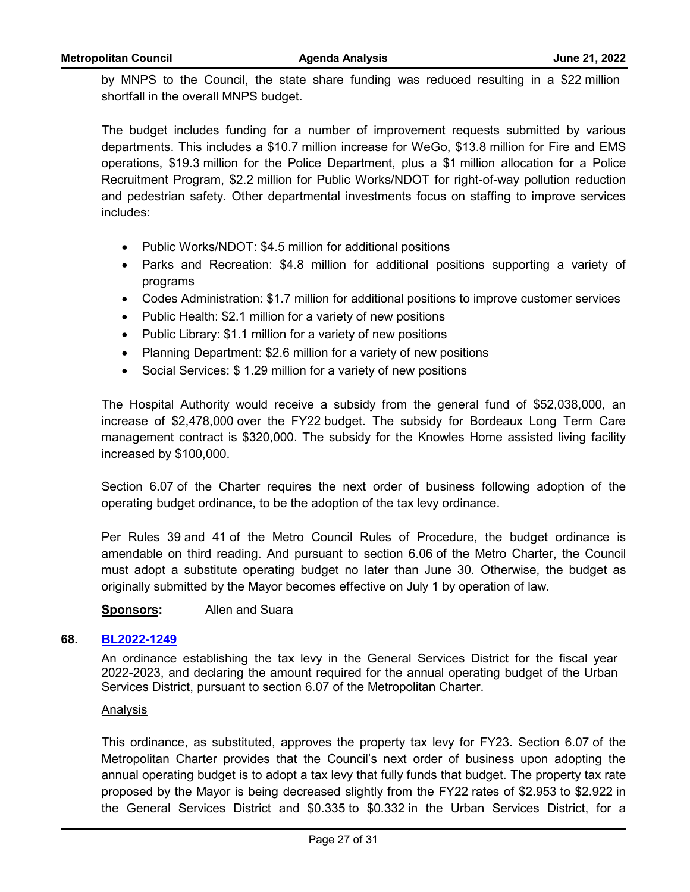by MNPS to the Council, the state share funding was reduced resulting in a \$22 million shortfall in the overall MNPS budget.

The budget includes funding for a number of improvement requests submitted by various departments. This includes a \$10.7 million increase for WeGo, \$13.8 million for Fire and EMS operations, \$19.3 million for the Police Department, plus a \$1 million allocation for a Police Recruitment Program, \$2.2 million for Public Works/NDOT for right-of-way pollution reduction and pedestrian safety. Other departmental investments focus on staffing to improve services includes:

- · Public Works/NDOT: \$4.5 million for additional positions
- · Parks and Recreation: \$4.8 million for additional positions supporting a variety of programs
- · Codes Administration: \$1.7 million for additional positions to improve customer services
- Public Health: \$2.1 million for a variety of new positions
- Public Library: \$1.1 million for a variety of new positions
- Planning Department: \$2.6 million for a variety of new positions
- Social Services: \$1.29 million for a variety of new positions

The Hospital Authority would receive a subsidy from the general fund of \$52,038,000, an increase of \$2,478,000 over the FY22 budget. The subsidy for Bordeaux Long Term Care management contract is \$320,000. The subsidy for the Knowles Home assisted living facility increased by \$100,000.

Section 6.07 of the Charter requires the next order of business following adoption of the operating budget ordinance, to be the adoption of the tax levy ordinance.

Per Rules 39 and 41 of the Metro Council Rules of Procedure, the budget ordinance is amendable on third reading. And pursuant to section 6.06 of the Metro Charter, the Council must adopt a substitute operating budget no later than June 30. Otherwise, the budget as originally submitted by the Mayor becomes effective on July 1 by operation of law.

**Sponsors:** Allen and Suara

#### **68. [BL2022-1249](http://nashville.legistar.com/gateway.aspx?m=l&id=/matter.aspx?key=14438)**

An ordinance establishing the tax levy in the General Services District for the fiscal year 2022-2023, and declaring the amount required for the annual operating budget of the Urban Services District, pursuant to section 6.07 of the Metropolitan Charter.

#### Analysis

This ordinance, as substituted, approves the property tax levy for FY23. Section 6.07 of the Metropolitan Charter provides that the Council's next order of business upon adopting the annual operating budget is to adopt a tax levy that fully funds that budget. The property tax rate proposed by the Mayor is being decreased slightly from the FY22 rates of \$2.953 to \$2.922 in the General Services District and \$0.335 to \$0.332 in the Urban Services District, for a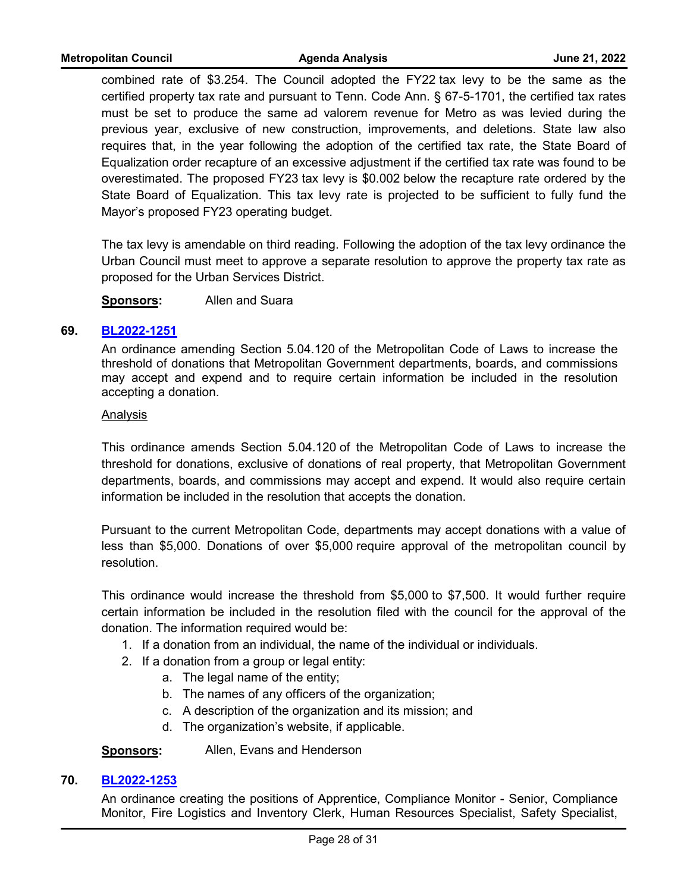combined rate of \$3.254. The Council adopted the FY22 tax levy to be the same as the certified property tax rate and pursuant to Tenn. Code Ann. § 67-5-1701, the certified tax rates must be set to produce the same ad valorem revenue for Metro as was levied during the previous year, exclusive of new construction, improvements, and deletions. State law also requires that, in the year following the adoption of the certified tax rate, the State Board of Equalization order recapture of an excessive adjustment if the certified tax rate was found to be overestimated. The proposed FY23 tax levy is \$0.002 below the recapture rate ordered by the State Board of Equalization. This tax levy rate is projected to be sufficient to fully fund the Mayor's proposed FY23 operating budget.

The tax levy is amendable on third reading. Following the adoption of the tax levy ordinance the Urban Council must meet to approve a separate resolution to approve the property tax rate as proposed for the Urban Services District.

**Sponsors:** Allen and Suara

## **69. [BL2022-1251](http://nashville.legistar.com/gateway.aspx?m=l&id=/matter.aspx?key=14484)**

An ordinance amending Section 5.04.120 of the Metropolitan Code of Laws to increase the threshold of donations that Metropolitan Government departments, boards, and commissions may accept and expend and to require certain information be included in the resolution accepting a donation.

## Analysis

This ordinance amends Section 5.04.120 of the Metropolitan Code of Laws to increase the threshold for donations, exclusive of donations of real property, that Metropolitan Government departments, boards, and commissions may accept and expend. It would also require certain information be included in the resolution that accepts the donation.

Pursuant to the current Metropolitan Code, departments may accept donations with a value of less than \$5,000. Donations of over \$5,000 require approval of the metropolitan council by resolution.

This ordinance would increase the threshold from \$5,000 to \$7,500. It would further require certain information be included in the resolution filed with the council for the approval of the donation. The information required would be:

- 1. If a donation from an individual, the name of the individual or individuals.
- 2. If a donation from a group or legal entity:
	- a. The legal name of the entity;
	- b. The names of any officers of the organization;
	- c. A description of the organization and its mission; and
	- d. The organization's website, if applicable.

**Sponsors:** Allen, Evans and Henderson

# **70. [BL2022-1253](http://nashville.legistar.com/gateway.aspx?m=l&id=/matter.aspx?key=14459)**

An ordinance creating the positions of Apprentice, Compliance Monitor - Senior, Compliance Monitor, Fire Logistics and Inventory Clerk, Human Resources Specialist, Safety Specialist,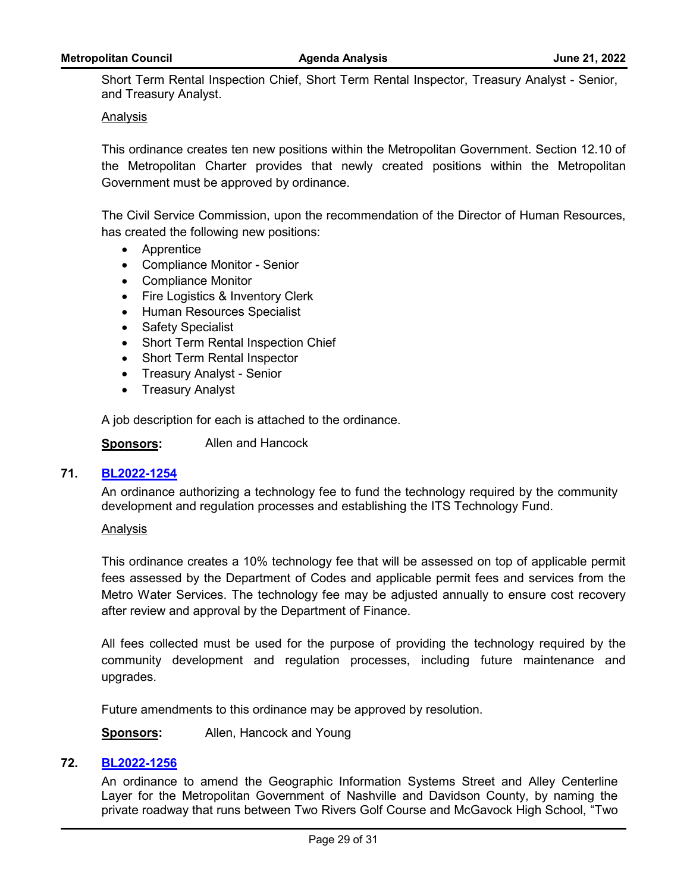Short Term Rental Inspection Chief, Short Term Rental Inspector, Treasury Analyst - Senior, and Treasury Analyst.

#### Analysis

This ordinance creates ten new positions within the Metropolitan Government. Section 12.10 of the Metropolitan Charter provides that newly created positions within the Metropolitan Government must be approved by ordinance.

The Civil Service Commission, upon the recommendation of the Director of Human Resources, has created the following new positions:

- · Apprentice
- · Compliance Monitor Senior
- · Compliance Monitor
- Fire Logistics & Inventory Clerk
- · Human Resources Specialist
- · Safety Specialist
- Short Term Rental Inspection Chief
- · Short Term Rental Inspector
- · Treasury Analyst Senior
- · Treasury Analyst

A job description for each is attached to the ordinance.

**Sponsors:** Allen and Hancock

#### **71. [BL2022-1254](http://nashville.legistar.com/gateway.aspx?m=l&id=/matter.aspx?key=14478)**

An ordinance authorizing a technology fee to fund the technology required by the community development and regulation processes and establishing the ITS Technology Fund.

#### Analysis

This ordinance creates a 10% technology fee that will be assessed on top of applicable permit fees assessed by the Department of Codes and applicable permit fees and services from the Metro Water Services. The technology fee may be adjusted annually to ensure cost recovery after review and approval by the Department of Finance.

All fees collected must be used for the purpose of providing the technology required by the community development and regulation processes, including future maintenance and upgrades.

Future amendments to this ordinance may be approved by resolution.

**Sponsors:** Allen, Hancock and Young

#### **72. [BL2022-1256](http://nashville.legistar.com/gateway.aspx?m=l&id=/matter.aspx?key=14442)**

An ordinance to amend the Geographic Information Systems Street and Alley Centerline Layer for the Metropolitan Government of Nashville and Davidson County, by naming the private roadway that runs between Two Rivers Golf Course and McGavock High School, "Two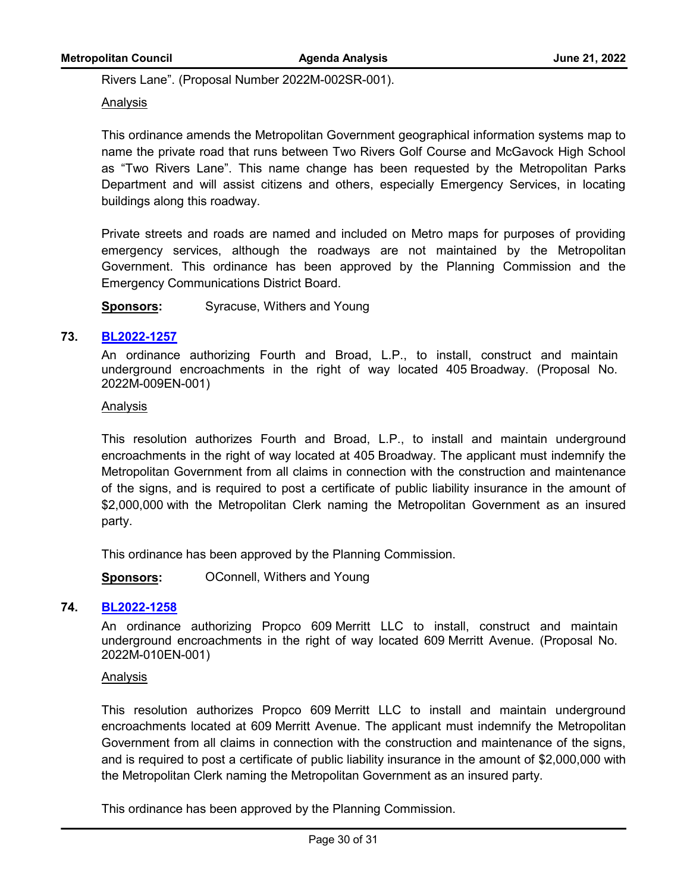Rivers Lane". (Proposal Number 2022M-002SR-001).

## Analysis

This ordinance amends the Metropolitan Government geographical information systems map to name the private road that runs between Two Rivers Golf Course and McGavock High School as "Two Rivers Lane". This name change has been requested by the Metropolitan Parks Department and will assist citizens and others, especially Emergency Services, in locating buildings along this roadway.

Private streets and roads are named and included on Metro maps for purposes of providing emergency services, although the roadways are not maintained by the Metropolitan Government. This ordinance has been approved by the Planning Commission and the Emergency Communications District Board.

**Sponsors:** Syracuse, Withers and Young

## **73. [BL2022-1257](http://nashville.legistar.com/gateway.aspx?m=l&id=/matter.aspx?key=14464)**

An ordinance authorizing Fourth and Broad, L.P., to install, construct and maintain underground encroachments in the right of way located 405 Broadway. (Proposal No. 2022M-009EN-001)

#### Analysis

This resolution authorizes Fourth and Broad, L.P., to install and maintain underground encroachments in the right of way located at 405 Broadway. The applicant must indemnify the Metropolitan Government from all claims in connection with the construction and maintenance of the signs, and is required to post a certificate of public liability insurance in the amount of \$2,000,000 with the Metropolitan Clerk naming the Metropolitan Government as an insured party.

This ordinance has been approved by the Planning Commission.

**Sponsors: OConnell, Withers and Young** 

#### **74. [BL2022-1258](http://nashville.legistar.com/gateway.aspx?m=l&id=/matter.aspx?key=14465)**

An ordinance authorizing Propco 609 Merritt LLC to install, construct and maintain underground encroachments in the right of way located 609 Merritt Avenue. (Proposal No. 2022M-010EN-001)

#### Analysis

This resolution authorizes Propco 609 Merritt LLC to install and maintain underground encroachments located at 609 Merritt Avenue. The applicant must indemnify the Metropolitan Government from all claims in connection with the construction and maintenance of the signs, and is required to post a certificate of public liability insurance in the amount of \$2,000,000 with the Metropolitan Clerk naming the Metropolitan Government as an insured party.

This ordinance has been approved by the Planning Commission.